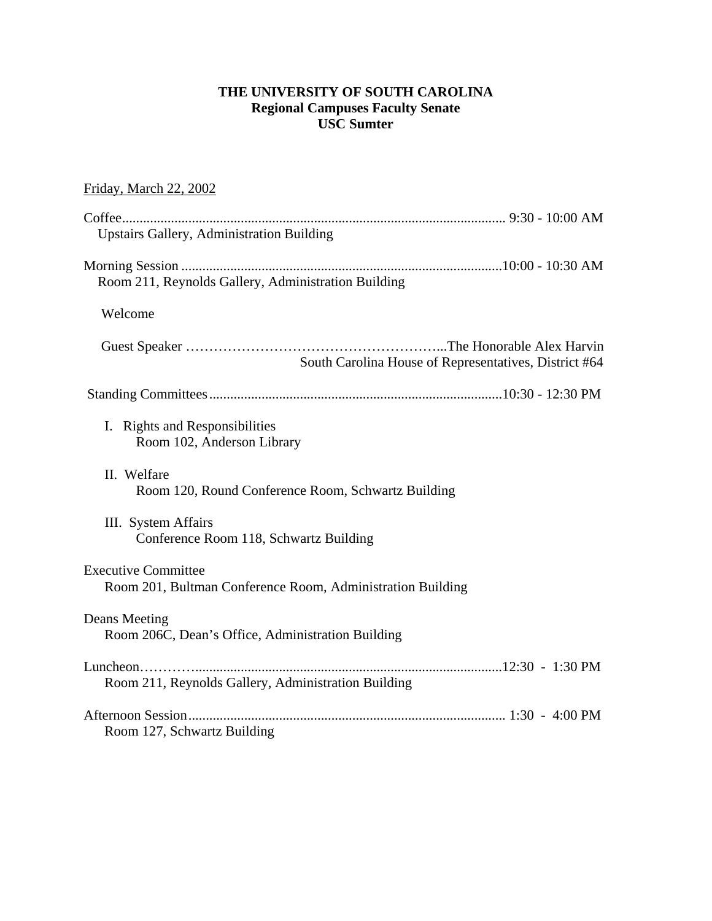### **THE UNIVERSITY OF SOUTH CAROLINA Regional Campuses Faculty Senate USC Sumter**

# Friday, March 22, 2002

| <b>Upstairs Gallery, Administration Building</b>                                         |  |
|------------------------------------------------------------------------------------------|--|
| Room 211, Reynolds Gallery, Administration Building                                      |  |
| Welcome                                                                                  |  |
| South Carolina House of Representatives, District #64                                    |  |
|                                                                                          |  |
| I. Rights and Responsibilities<br>Room 102, Anderson Library                             |  |
| II. Welfare<br>Room 120, Round Conference Room, Schwartz Building                        |  |
| III. System Affairs<br>Conference Room 118, Schwartz Building                            |  |
| <b>Executive Committee</b><br>Room 201, Bultman Conference Room, Administration Building |  |
| Deans Meeting<br>Room 206C, Dean's Office, Administration Building                       |  |
| Room 211, Reynolds Gallery, Administration Building                                      |  |
| Room 127, Schwartz Building                                                              |  |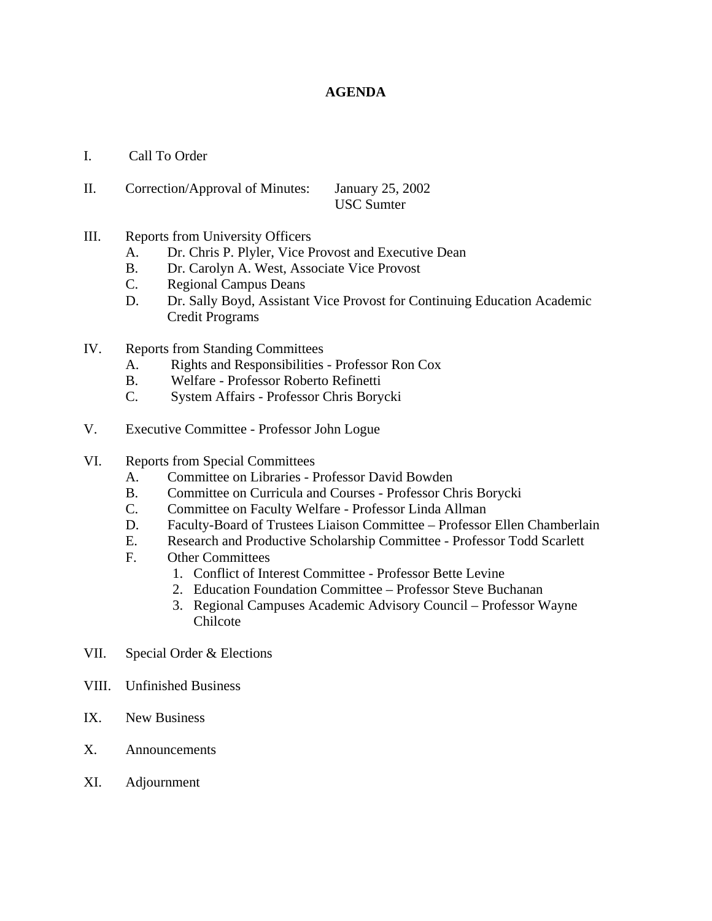### **AGENDA**

- I. Call To Order
- II. Correction/Approval of Minutes: January 25, 2002 USC Sumter
- III. Reports from University Officers
	- A. Dr. Chris P. Plyler, Vice Provost and Executive Dean
	- B. Dr. Carolyn A. West, Associate Vice Provost
	- C. Regional Campus Deans
	- D. Dr. Sally Boyd, Assistant Vice Provost for Continuing Education Academic Credit Programs
- IV. Reports from Standing Committees
	- A. Rights and Responsibilities Professor Ron Cox
	- B. Welfare Professor Roberto Refinetti
	- C. System Affairs Professor Chris Borycki
- V. Executive Committee Professor John Logue
- VI. Reports from Special Committees
	- A. Committee on Libraries Professor David Bowden
	- B. Committee on Curricula and Courses Professor Chris Borycki
	- C. Committee on Faculty Welfare Professor Linda Allman
	- D. Faculty-Board of Trustees Liaison Committee Professor Ellen Chamberlain
	- E. Research and Productive Scholarship Committee Professor Todd Scarlett
	- F. Other Committees
		- 1. Conflict of Interest Committee Professor Bette Levine
		- 2. Education Foundation Committee Professor Steve Buchanan
		- 3. Regional Campuses Academic Advisory Council Professor Wayne Chilcote
- VII. Special Order & Elections
- VIII. Unfinished Business
- IX. New Business
- X. Announcements
- XI. Adjournment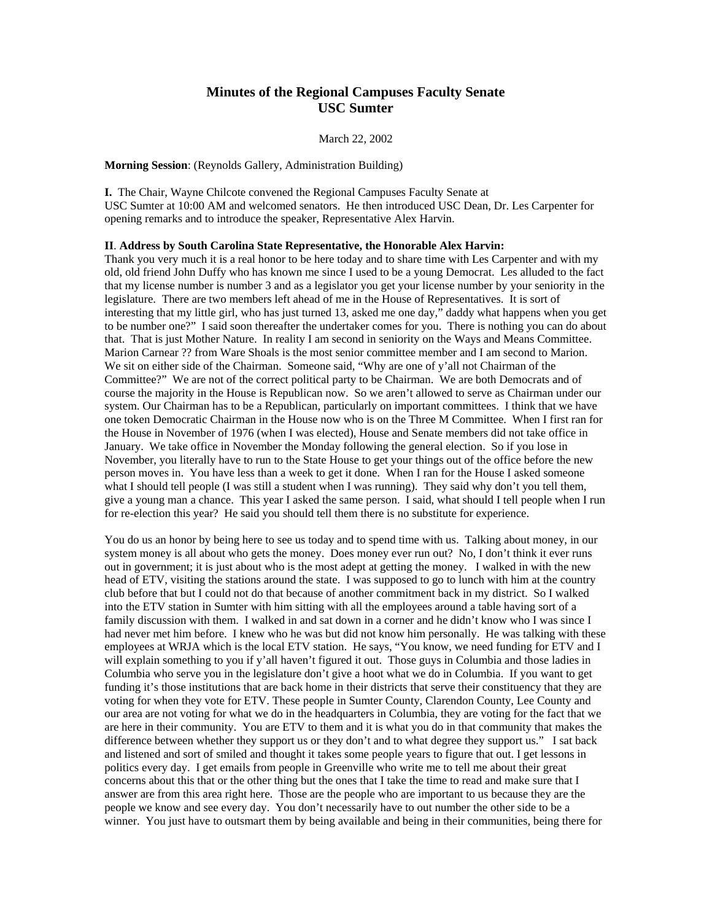### **Minutes of the Regional Campuses Faculty Senate USC Sumter**

#### March 22, 2002

**Morning Session**: (Reynolds Gallery, Administration Building)

**I.** The Chair, Wayne Chilcote convened the Regional Campuses Faculty Senate at USC Sumter at 10:00 AM and welcomed senators. He then introduced USC Dean, Dr. Les Carpenter for opening remarks and to introduce the speaker, Representative Alex Harvin.

#### **II**. **Address by South Carolina State Representative, the Honorable Alex Harvin:**

Thank you very much it is a real honor to be here today and to share time with Les Carpenter and with my old, old friend John Duffy who has known me since I used to be a young Democrat. Les alluded to the fact that my license number is number 3 and as a legislator you get your license number by your seniority in the legislature. There are two members left ahead of me in the House of Representatives. It is sort of interesting that my little girl, who has just turned 13, asked me one day," daddy what happens when you get to be number one?" I said soon thereafter the undertaker comes for you. There is nothing you can do about that. That is just Mother Nature. In reality I am second in seniority on the Ways and Means Committee. Marion Carnear ?? from Ware Shoals is the most senior committee member and I am second to Marion. We sit on either side of the Chairman. Someone said, "Why are one of y'all not Chairman of the Committee?" We are not of the correct political party to be Chairman. We are both Democrats and of course the majority in the House is Republican now. So we aren't allowed to serve as Chairman under our system. Our Chairman has to be a Republican, particularly on important committees. I think that we have one token Democratic Chairman in the House now who is on the Three M Committee. When I first ran for the House in November of 1976 (when I was elected), House and Senate members did not take office in January. We take office in November the Monday following the general election. So if you lose in November, you literally have to run to the State House to get your things out of the office before the new person moves in. You have less than a week to get it done. When I ran for the House I asked someone what I should tell people (I was still a student when I was running). They said why don't you tell them, give a young man a chance. This year I asked the same person. I said, what should I tell people when I run for re-election this year? He said you should tell them there is no substitute for experience.

You do us an honor by being here to see us today and to spend time with us. Talking about money, in our system money is all about who gets the money. Does money ever run out? No, I don't think it ever runs out in government; it is just about who is the most adept at getting the money. I walked in with the new head of ETV, visiting the stations around the state. I was supposed to go to lunch with him at the country club before that but I could not do that because of another commitment back in my district. So I walked into the ETV station in Sumter with him sitting with all the employees around a table having sort of a family discussion with them. I walked in and sat down in a corner and he didn't know who I was since I had never met him before. I knew who he was but did not know him personally. He was talking with these employees at WRJA which is the local ETV station. He says, "You know, we need funding for ETV and I will explain something to you if y'all haven't figured it out. Those guys in Columbia and those ladies in Columbia who serve you in the legislature don't give a hoot what we do in Columbia. If you want to get funding it's those institutions that are back home in their districts that serve their constituency that they are voting for when they vote for ETV. These people in Sumter County, Clarendon County, Lee County and our area are not voting for what we do in the headquarters in Columbia, they are voting for the fact that we are here in their community. You are ETV to them and it is what you do in that community that makes the difference between whether they support us or they don't and to what degree they support us." I sat back and listened and sort of smiled and thought it takes some people years to figure that out. I get lessons in politics every day. I get emails from people in Greenville who write me to tell me about their great concerns about this that or the other thing but the ones that I take the time to read and make sure that I answer are from this area right here. Those are the people who are important to us because they are the people we know and see every day. You don't necessarily have to out number the other side to be a winner. You just have to outsmart them by being available and being in their communities, being there for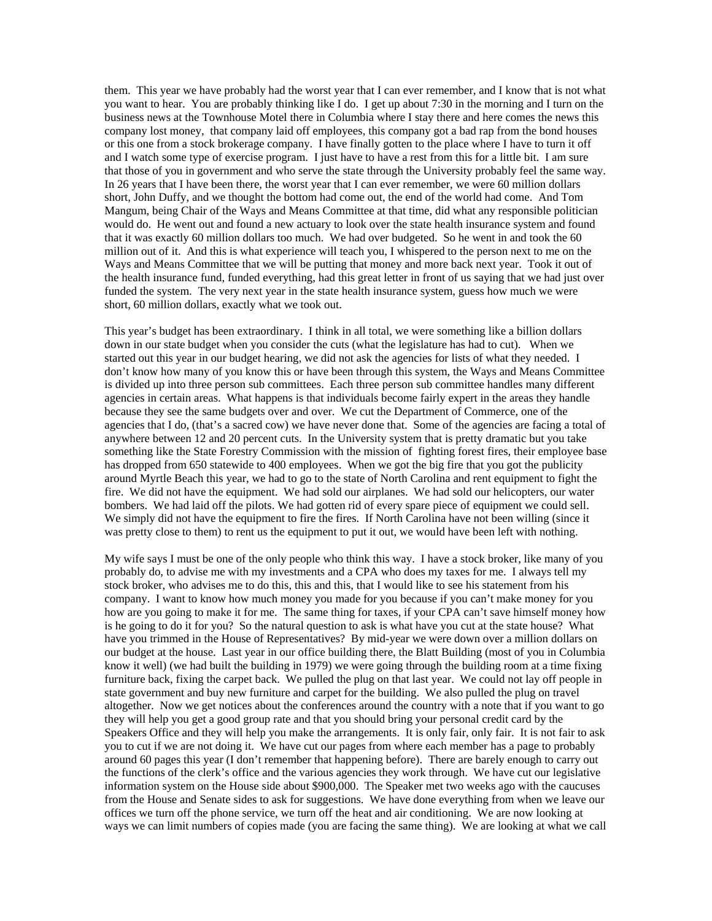them. This year we have probably had the worst year that I can ever remember, and I know that is not what you want to hear. You are probably thinking like I do. I get up about 7:30 in the morning and I turn on the business news at the Townhouse Motel there in Columbia where I stay there and here comes the news this company lost money, that company laid off employees, this company got a bad rap from the bond houses or this one from a stock brokerage company. I have finally gotten to the place where I have to turn it off and I watch some type of exercise program. I just have to have a rest from this for a little bit. I am sure that those of you in government and who serve the state through the University probably feel the same way. In 26 years that I have been there, the worst year that I can ever remember, we were 60 million dollars short, John Duffy, and we thought the bottom had come out, the end of the world had come. And Tom Mangum, being Chair of the Ways and Means Committee at that time, did what any responsible politician would do. He went out and found a new actuary to look over the state health insurance system and found that it was exactly 60 million dollars too much. We had over budgeted. So he went in and took the 60 million out of it. And this is what experience will teach you, I whispered to the person next to me on the Ways and Means Committee that we will be putting that money and more back next year. Took it out of the health insurance fund, funded everything, had this great letter in front of us saying that we had just over funded the system. The very next year in the state health insurance system, guess how much we were short, 60 million dollars, exactly what we took out.

This year's budget has been extraordinary. I think in all total, we were something like a billion dollars down in our state budget when you consider the cuts (what the legislature has had to cut). When we started out this year in our budget hearing, we did not ask the agencies for lists of what they needed. I don't know how many of you know this or have been through this system, the Ways and Means Committee is divided up into three person sub committees. Each three person sub committee handles many different agencies in certain areas. What happens is that individuals become fairly expert in the areas they handle because they see the same budgets over and over. We cut the Department of Commerce, one of the agencies that I do, (that's a sacred cow) we have never done that. Some of the agencies are facing a total of anywhere between 12 and 20 percent cuts. In the University system that is pretty dramatic but you take something like the State Forestry Commission with the mission of fighting forest fires, their employee base has dropped from 650 statewide to 400 employees. When we got the big fire that you got the publicity around Myrtle Beach this year, we had to go to the state of North Carolina and rent equipment to fight the fire. We did not have the equipment. We had sold our airplanes. We had sold our helicopters, our water bombers. We had laid off the pilots. We had gotten rid of every spare piece of equipment we could sell. We simply did not have the equipment to fire the fires. If North Carolina have not been willing (since it was pretty close to them) to rent us the equipment to put it out, we would have been left with nothing.

My wife says I must be one of the only people who think this way. I have a stock broker, like many of you probably do, to advise me with my investments and a CPA who does my taxes for me. I always tell my stock broker, who advises me to do this, this and this, that I would like to see his statement from his company. I want to know how much money you made for you because if you can't make money for you how are you going to make it for me. The same thing for taxes, if your CPA can't save himself money how is he going to do it for you? So the natural question to ask is what have you cut at the state house? What have you trimmed in the House of Representatives? By mid-year we were down over a million dollars on our budget at the house. Last year in our office building there, the Blatt Building (most of you in Columbia know it well) (we had built the building in 1979) we were going through the building room at a time fixing furniture back, fixing the carpet back. We pulled the plug on that last year. We could not lay off people in state government and buy new furniture and carpet for the building. We also pulled the plug on travel altogether. Now we get notices about the conferences around the country with a note that if you want to go they will help you get a good group rate and that you should bring your personal credit card by the Speakers Office and they will help you make the arrangements. It is only fair, only fair. It is not fair to ask you to cut if we are not doing it. We have cut our pages from where each member has a page to probably around 60 pages this year (I don't remember that happening before). There are barely enough to carry out the functions of the clerk's office and the various agencies they work through. We have cut our legislative information system on the House side about \$900,000. The Speaker met two weeks ago with the caucuses from the House and Senate sides to ask for suggestions. We have done everything from when we leave our offices we turn off the phone service, we turn off the heat and air conditioning. We are now looking at ways we can limit numbers of copies made (you are facing the same thing). We are looking at what we call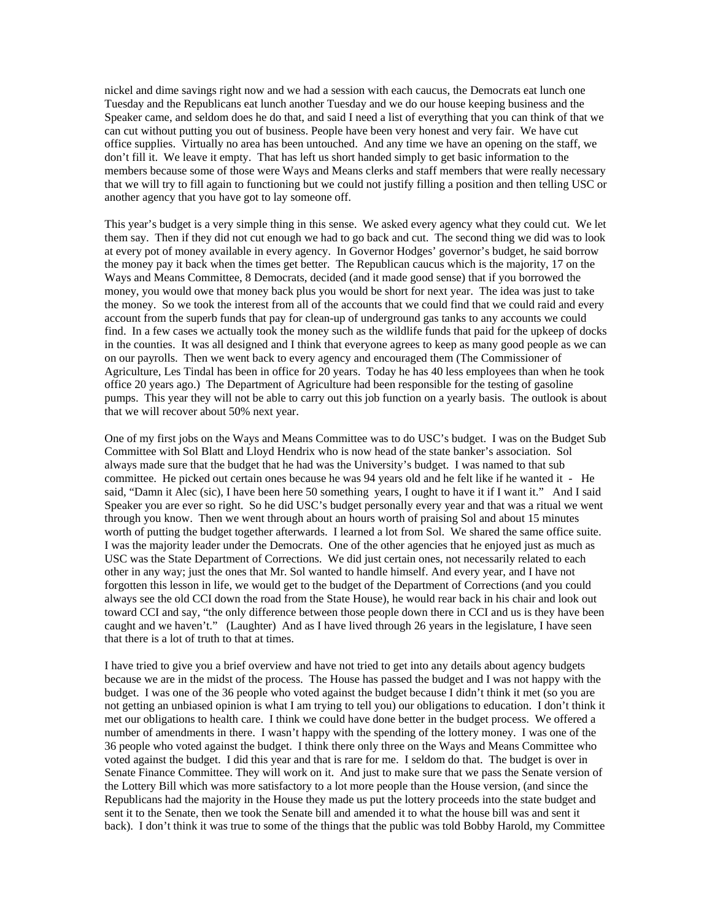nickel and dime savings right now and we had a session with each caucus, the Democrats eat lunch one Tuesday and the Republicans eat lunch another Tuesday and we do our house keeping business and the Speaker came, and seldom does he do that, and said I need a list of everything that you can think of that we can cut without putting you out of business. People have been very honest and very fair. We have cut office supplies. Virtually no area has been untouched. And any time we have an opening on the staff, we don't fill it. We leave it empty. That has left us short handed simply to get basic information to the members because some of those were Ways and Means clerks and staff members that were really necessary that we will try to fill again to functioning but we could not justify filling a position and then telling USC or another agency that you have got to lay someone off.

This year's budget is a very simple thing in this sense. We asked every agency what they could cut. We let them say. Then if they did not cut enough we had to go back and cut. The second thing we did was to look at every pot of money available in every agency. In Governor Hodges' governor's budget, he said borrow the money pay it back when the times get better. The Republican caucus which is the majority, 17 on the Ways and Means Committee, 8 Democrats, decided (and it made good sense) that if you borrowed the money, you would owe that money back plus you would be short for next year. The idea was just to take the money. So we took the interest from all of the accounts that we could find that we could raid and every account from the superb funds that pay for clean-up of underground gas tanks to any accounts we could find. In a few cases we actually took the money such as the wildlife funds that paid for the upkeep of docks in the counties. It was all designed and I think that everyone agrees to keep as many good people as we can on our payrolls. Then we went back to every agency and encouraged them (The Commissioner of Agriculture, Les Tindal has been in office for 20 years. Today he has 40 less employees than when he took office 20 years ago.) The Department of Agriculture had been responsible for the testing of gasoline pumps. This year they will not be able to carry out this job function on a yearly basis. The outlook is about that we will recover about 50% next year.

One of my first jobs on the Ways and Means Committee was to do USC's budget. I was on the Budget Sub Committee with Sol Blatt and Lloyd Hendrix who is now head of the state banker's association. Sol always made sure that the budget that he had was the University's budget. I was named to that sub committee. He picked out certain ones because he was 94 years old and he felt like if he wanted it - He said, "Damn it Alec (sic), I have been here 50 something years, I ought to have it if I want it." And I said Speaker you are ever so right. So he did USC's budget personally every year and that was a ritual we went through you know. Then we went through about an hours worth of praising Sol and about 15 minutes worth of putting the budget together afterwards. I learned a lot from Sol. We shared the same office suite. I was the majority leader under the Democrats. One of the other agencies that he enjoyed just as much as USC was the State Department of Corrections. We did just certain ones, not necessarily related to each other in any way; just the ones that Mr. Sol wanted to handle himself. And every year, and I have not forgotten this lesson in life, we would get to the budget of the Department of Corrections (and you could always see the old CCI down the road from the State House), he would rear back in his chair and look out toward CCI and say, "the only difference between those people down there in CCI and us is they have been caught and we haven't." (Laughter) And as I have lived through 26 years in the legislature, I have seen that there is a lot of truth to that at times.

I have tried to give you a brief overview and have not tried to get into any details about agency budgets because we are in the midst of the process. The House has passed the budget and I was not happy with the budget. I was one of the 36 people who voted against the budget because I didn't think it met (so you are not getting an unbiased opinion is what I am trying to tell you) our obligations to education. I don't think it met our obligations to health care. I think we could have done better in the budget process. We offered a number of amendments in there. I wasn't happy with the spending of the lottery money. I was one of the 36 people who voted against the budget. I think there only three on the Ways and Means Committee who voted against the budget. I did this year and that is rare for me. I seldom do that. The budget is over in Senate Finance Committee. They will work on it. And just to make sure that we pass the Senate version of the Lottery Bill which was more satisfactory to a lot more people than the House version, (and since the Republicans had the majority in the House they made us put the lottery proceeds into the state budget and sent it to the Senate, then we took the Senate bill and amended it to what the house bill was and sent it back). I don't think it was true to some of the things that the public was told Bobby Harold, my Committee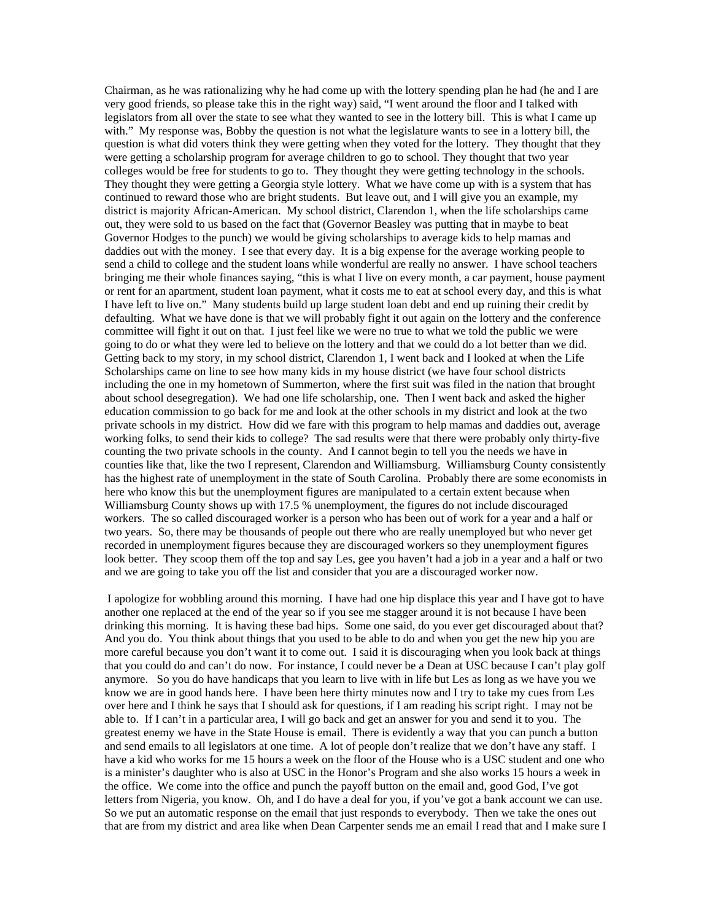Chairman, as he was rationalizing why he had come up with the lottery spending plan he had (he and I are very good friends, so please take this in the right way) said, "I went around the floor and I talked with legislators from all over the state to see what they wanted to see in the lottery bill. This is what I came up with." My response was, Bobby the question is not what the legislature wants to see in a lottery bill, the question is what did voters think they were getting when they voted for the lottery. They thought that they were getting a scholarship program for average children to go to school. They thought that two year colleges would be free for students to go to. They thought they were getting technology in the schools. They thought they were getting a Georgia style lottery. What we have come up with is a system that has continued to reward those who are bright students. But leave out, and I will give you an example, my district is majority African-American. My school district, Clarendon 1, when the life scholarships came out, they were sold to us based on the fact that (Governor Beasley was putting that in maybe to beat Governor Hodges to the punch) we would be giving scholarships to average kids to help mamas and daddies out with the money. I see that every day. It is a big expense for the average working people to send a child to college and the student loans while wonderful are really no answer. I have school teachers bringing me their whole finances saying, "this is what I live on every month, a car payment, house payment or rent for an apartment, student loan payment, what it costs me to eat at school every day, and this is what I have left to live on." Many students build up large student loan debt and end up ruining their credit by defaulting. What we have done is that we will probably fight it out again on the lottery and the conference committee will fight it out on that. I just feel like we were no true to what we told the public we were going to do or what they were led to believe on the lottery and that we could do a lot better than we did. Getting back to my story, in my school district, Clarendon 1, I went back and I looked at when the Life Scholarships came on line to see how many kids in my house district (we have four school districts including the one in my hometown of Summerton, where the first suit was filed in the nation that brought about school desegregation). We had one life scholarship, one. Then I went back and asked the higher education commission to go back for me and look at the other schools in my district and look at the two private schools in my district. How did we fare with this program to help mamas and daddies out, average working folks, to send their kids to college? The sad results were that there were probably only thirty-five counting the two private schools in the county. And I cannot begin to tell you the needs we have in counties like that, like the two I represent, Clarendon and Williamsburg. Williamsburg County consistently has the highest rate of unemployment in the state of South Carolina. Probably there are some economists in here who know this but the unemployment figures are manipulated to a certain extent because when Williamsburg County shows up with 17.5 % unemployment, the figures do not include discouraged workers. The so called discouraged worker is a person who has been out of work for a year and a half or two years. So, there may be thousands of people out there who are really unemployed but who never get recorded in unemployment figures because they are discouraged workers so they unemployment figures look better. They scoop them off the top and say Les, gee you haven't had a job in a year and a half or two and we are going to take you off the list and consider that you are a discouraged worker now.

 I apologize for wobbling around this morning. I have had one hip displace this year and I have got to have another one replaced at the end of the year so if you see me stagger around it is not because I have been drinking this morning. It is having these bad hips. Some one said, do you ever get discouraged about that? And you do. You think about things that you used to be able to do and when you get the new hip you are more careful because you don't want it to come out. I said it is discouraging when you look back at things that you could do and can't do now. For instance, I could never be a Dean at USC because I can't play golf anymore. So you do have handicaps that you learn to live with in life but Les as long as we have you we know we are in good hands here. I have been here thirty minutes now and I try to take my cues from Les over here and I think he says that I should ask for questions, if I am reading his script right. I may not be able to. If I can't in a particular area, I will go back and get an answer for you and send it to you. The greatest enemy we have in the State House is email. There is evidently a way that you can punch a button and send emails to all legislators at one time. A lot of people don't realize that we don't have any staff. I have a kid who works for me 15 hours a week on the floor of the House who is a USC student and one who is a minister's daughter who is also at USC in the Honor's Program and she also works 15 hours a week in the office. We come into the office and punch the payoff button on the email and, good God, I've got letters from Nigeria, you know. Oh, and I do have a deal for you, if you've got a bank account we can use. So we put an automatic response on the email that just responds to everybody. Then we take the ones out that are from my district and area like when Dean Carpenter sends me an email I read that and I make sure I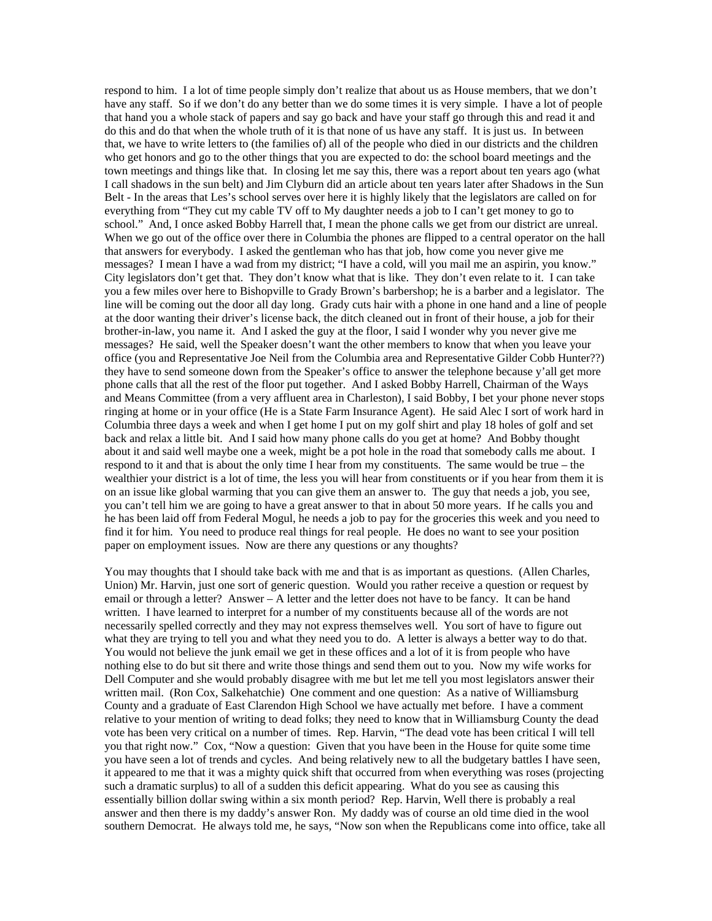respond to him. I a lot of time people simply don't realize that about us as House members, that we don't have any staff. So if we don't do any better than we do some times it is very simple. I have a lot of people that hand you a whole stack of papers and say go back and have your staff go through this and read it and do this and do that when the whole truth of it is that none of us have any staff. It is just us. In between that, we have to write letters to (the families of) all of the people who died in our districts and the children who get honors and go to the other things that you are expected to do: the school board meetings and the town meetings and things like that. In closing let me say this, there was a report about ten years ago (what I call shadows in the sun belt) and Jim Clyburn did an article about ten years later after Shadows in the Sun Belt - In the areas that Les's school serves over here it is highly likely that the legislators are called on for everything from "They cut my cable TV off to My daughter needs a job to I can't get money to go to school." And, I once asked Bobby Harrell that, I mean the phone calls we get from our district are unreal. When we go out of the office over there in Columbia the phones are flipped to a central operator on the hall that answers for everybody. I asked the gentleman who has that job, how come you never give me messages? I mean I have a wad from my district; "I have a cold, will you mail me an aspirin, you know." City legislators don't get that. They don't know what that is like. They don't even relate to it. I can take you a few miles over here to Bishopville to Grady Brown's barbershop; he is a barber and a legislator. The line will be coming out the door all day long. Grady cuts hair with a phone in one hand and a line of people at the door wanting their driver's license back, the ditch cleaned out in front of their house, a job for their brother-in-law, you name it. And I asked the guy at the floor, I said I wonder why you never give me messages? He said, well the Speaker doesn't want the other members to know that when you leave your office (you and Representative Joe Neil from the Columbia area and Representative Gilder Cobb Hunter??) they have to send someone down from the Speaker's office to answer the telephone because y'all get more phone calls that all the rest of the floor put together. And I asked Bobby Harrell, Chairman of the Ways and Means Committee (from a very affluent area in Charleston), I said Bobby, I bet your phone never stops ringing at home or in your office (He is a State Farm Insurance Agent). He said Alec I sort of work hard in Columbia three days a week and when I get home I put on my golf shirt and play 18 holes of golf and set back and relax a little bit. And I said how many phone calls do you get at home? And Bobby thought about it and said well maybe one a week, might be a pot hole in the road that somebody calls me about. I respond to it and that is about the only time I hear from my constituents. The same would be true – the wealthier your district is a lot of time, the less you will hear from constituents or if you hear from them it is on an issue like global warming that you can give them an answer to. The guy that needs a job, you see, you can't tell him we are going to have a great answer to that in about 50 more years. If he calls you and he has been laid off from Federal Mogul, he needs a job to pay for the groceries this week and you need to find it for him. You need to produce real things for real people. He does no want to see your position paper on employment issues. Now are there any questions or any thoughts?

You may thoughts that I should take back with me and that is as important as questions. (Allen Charles, Union) Mr. Harvin, just one sort of generic question. Would you rather receive a question or request by email or through a letter? Answer – A letter and the letter does not have to be fancy. It can be hand written. I have learned to interpret for a number of my constituents because all of the words are not necessarily spelled correctly and they may not express themselves well. You sort of have to figure out what they are trying to tell you and what they need you to do. A letter is always a better way to do that. You would not believe the junk email we get in these offices and a lot of it is from people who have nothing else to do but sit there and write those things and send them out to you. Now my wife works for Dell Computer and she would probably disagree with me but let me tell you most legislators answer their written mail. (Ron Cox, Salkehatchie) One comment and one question: As a native of Williamsburg County and a graduate of East Clarendon High School we have actually met before. I have a comment relative to your mention of writing to dead folks; they need to know that in Williamsburg County the dead vote has been very critical on a number of times. Rep. Harvin, "The dead vote has been critical I will tell you that right now." Cox, "Now a question: Given that you have been in the House for quite some time you have seen a lot of trends and cycles. And being relatively new to all the budgetary battles I have seen, it appeared to me that it was a mighty quick shift that occurred from when everything was roses (projecting such a dramatic surplus) to all of a sudden this deficit appearing. What do you see as causing this essentially billion dollar swing within a six month period? Rep. Harvin, Well there is probably a real answer and then there is my daddy's answer Ron. My daddy was of course an old time died in the wool southern Democrat. He always told me, he says, "Now son when the Republicans come into office, take all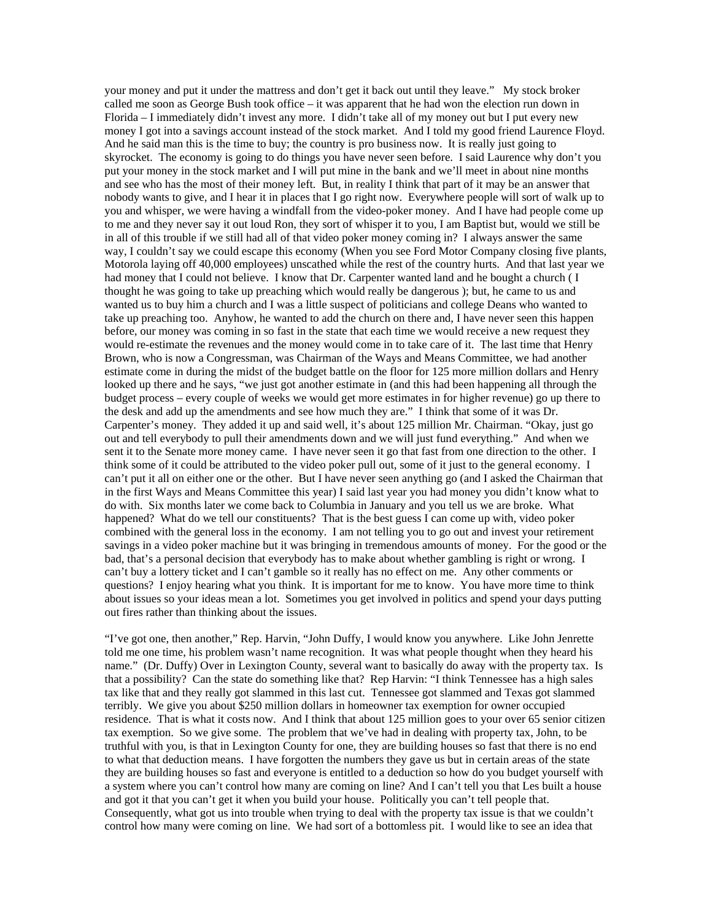your money and put it under the mattress and don't get it back out until they leave." My stock broker called me soon as George Bush took office – it was apparent that he had won the election run down in Florida – I immediately didn't invest any more. I didn't take all of my money out but I put every new money I got into a savings account instead of the stock market. And I told my good friend Laurence Floyd. And he said man this is the time to buy; the country is pro business now. It is really just going to skyrocket. The economy is going to do things you have never seen before. I said Laurence why don't you put your money in the stock market and I will put mine in the bank and we'll meet in about nine months and see who has the most of their money left. But, in reality I think that part of it may be an answer that nobody wants to give, and I hear it in places that I go right now. Everywhere people will sort of walk up to you and whisper, we were having a windfall from the video-poker money. And I have had people come up to me and they never say it out loud Ron, they sort of whisper it to you, I am Baptist but, would we still be in all of this trouble if we still had all of that video poker money coming in? I always answer the same way, I couldn't say we could escape this economy (When you see Ford Motor Company closing five plants, Motorola laying off 40,000 employees) unscathed while the rest of the country hurts. And that last year we had money that I could not believe. I know that Dr. Carpenter wanted land and he bought a church (I thought he was going to take up preaching which would really be dangerous ); but, he came to us and wanted us to buy him a church and I was a little suspect of politicians and college Deans who wanted to take up preaching too. Anyhow, he wanted to add the church on there and, I have never seen this happen before, our money was coming in so fast in the state that each time we would receive a new request they would re-estimate the revenues and the money would come in to take care of it. The last time that Henry Brown, who is now a Congressman, was Chairman of the Ways and Means Committee, we had another estimate come in during the midst of the budget battle on the floor for 125 more million dollars and Henry looked up there and he says, "we just got another estimate in (and this had been happening all through the budget process – every couple of weeks we would get more estimates in for higher revenue) go up there to the desk and add up the amendments and see how much they are." I think that some of it was Dr. Carpenter's money. They added it up and said well, it's about 125 million Mr. Chairman. "Okay, just go out and tell everybody to pull their amendments down and we will just fund everything." And when we sent it to the Senate more money came. I have never seen it go that fast from one direction to the other. I think some of it could be attributed to the video poker pull out, some of it just to the general economy. I can't put it all on either one or the other. But I have never seen anything go (and I asked the Chairman that in the first Ways and Means Committee this year) I said last year you had money you didn't know what to do with. Six months later we come back to Columbia in January and you tell us we are broke. What happened? What do we tell our constituents? That is the best guess I can come up with, video poker combined with the general loss in the economy. I am not telling you to go out and invest your retirement savings in a video poker machine but it was bringing in tremendous amounts of money. For the good or the bad, that's a personal decision that everybody has to make about whether gambling is right or wrong. I can't buy a lottery ticket and I can't gamble so it really has no effect on me. Any other comments or questions? I enjoy hearing what you think. It is important for me to know. You have more time to think about issues so your ideas mean a lot. Sometimes you get involved in politics and spend your days putting out fires rather than thinking about the issues.

"I've got one, then another," Rep. Harvin, "John Duffy, I would know you anywhere. Like John Jenrette told me one time, his problem wasn't name recognition. It was what people thought when they heard his name." (Dr. Duffy) Over in Lexington County, several want to basically do away with the property tax. Is that a possibility? Can the state do something like that? Rep Harvin: "I think Tennessee has a high sales tax like that and they really got slammed in this last cut. Tennessee got slammed and Texas got slammed terribly. We give you about \$250 million dollars in homeowner tax exemption for owner occupied residence. That is what it costs now. And I think that about 125 million goes to your over 65 senior citizen tax exemption. So we give some. The problem that we've had in dealing with property tax, John, to be truthful with you, is that in Lexington County for one, they are building houses so fast that there is no end to what that deduction means. I have forgotten the numbers they gave us but in certain areas of the state they are building houses so fast and everyone is entitled to a deduction so how do you budget yourself with a system where you can't control how many are coming on line? And I can't tell you that Les built a house and got it that you can't get it when you build your house. Politically you can't tell people that. Consequently, what got us into trouble when trying to deal with the property tax issue is that we couldn't control how many were coming on line. We had sort of a bottomless pit. I would like to see an idea that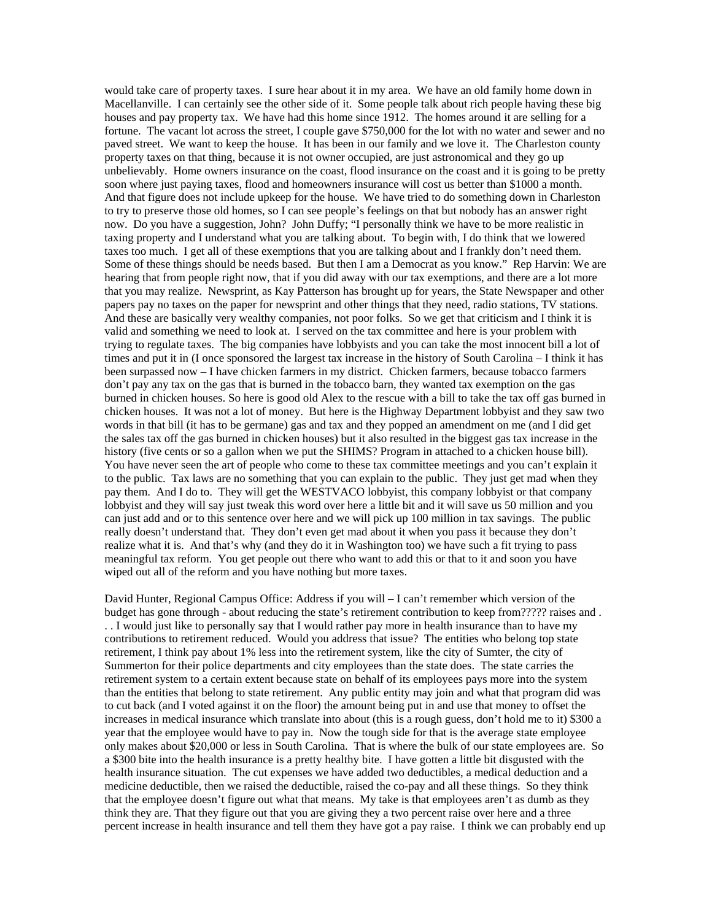would take care of property taxes. I sure hear about it in my area. We have an old family home down in Macellanville. I can certainly see the other side of it. Some people talk about rich people having these big houses and pay property tax. We have had this home since 1912. The homes around it are selling for a fortune. The vacant lot across the street, I couple gave \$750,000 for the lot with no water and sewer and no paved street. We want to keep the house. It has been in our family and we love it. The Charleston county property taxes on that thing, because it is not owner occupied, are just astronomical and they go up unbelievably. Home owners insurance on the coast, flood insurance on the coast and it is going to be pretty soon where just paying taxes, flood and homeowners insurance will cost us better than \$1000 a month. And that figure does not include upkeep for the house. We have tried to do something down in Charleston to try to preserve those old homes, so I can see people's feelings on that but nobody has an answer right now. Do you have a suggestion, John? John Duffy; "I personally think we have to be more realistic in taxing property and I understand what you are talking about. To begin with, I do think that we lowered taxes too much. I get all of these exemptions that you are talking about and I frankly don't need them. Some of these things should be needs based. But then I am a Democrat as you know." Rep Harvin: We are hearing that from people right now, that if you did away with our tax exemptions, and there are a lot more that you may realize. Newsprint, as Kay Patterson has brought up for years, the State Newspaper and other papers pay no taxes on the paper for newsprint and other things that they need, radio stations, TV stations. And these are basically very wealthy companies, not poor folks. So we get that criticism and I think it is valid and something we need to look at. I served on the tax committee and here is your problem with trying to regulate taxes. The big companies have lobbyists and you can take the most innocent bill a lot of times and put it in (I once sponsored the largest tax increase in the history of South Carolina – I think it has been surpassed now – I have chicken farmers in my district. Chicken farmers, because tobacco farmers don't pay any tax on the gas that is burned in the tobacco barn, they wanted tax exemption on the gas burned in chicken houses. So here is good old Alex to the rescue with a bill to take the tax off gas burned in chicken houses. It was not a lot of money. But here is the Highway Department lobbyist and they saw two words in that bill (it has to be germane) gas and tax and they popped an amendment on me (and I did get the sales tax off the gas burned in chicken houses) but it also resulted in the biggest gas tax increase in the history (five cents or so a gallon when we put the SHIMS? Program in attached to a chicken house bill). You have never seen the art of people who come to these tax committee meetings and you can't explain it to the public. Tax laws are no something that you can explain to the public. They just get mad when they pay them. And I do to. They will get the WESTVACO lobbyist, this company lobbyist or that company lobbyist and they will say just tweak this word over here a little bit and it will save us 50 million and you can just add and or to this sentence over here and we will pick up 100 million in tax savings. The public really doesn't understand that. They don't even get mad about it when you pass it because they don't realize what it is. And that's why (and they do it in Washington too) we have such a fit trying to pass meaningful tax reform. You get people out there who want to add this or that to it and soon you have wiped out all of the reform and you have nothing but more taxes.

David Hunter, Regional Campus Office: Address if you will – I can't remember which version of the budget has gone through - about reducing the state's retirement contribution to keep from????? raises and . . . I would just like to personally say that I would rather pay more in health insurance than to have my contributions to retirement reduced. Would you address that issue? The entities who belong top state retirement, I think pay about 1% less into the retirement system, like the city of Sumter, the city of Summerton for their police departments and city employees than the state does. The state carries the retirement system to a certain extent because state on behalf of its employees pays more into the system than the entities that belong to state retirement. Any public entity may join and what that program did was to cut back (and I voted against it on the floor) the amount being put in and use that money to offset the increases in medical insurance which translate into about (this is a rough guess, don't hold me to it) \$300 a year that the employee would have to pay in. Now the tough side for that is the average state employee only makes about \$20,000 or less in South Carolina. That is where the bulk of our state employees are. So a \$300 bite into the health insurance is a pretty healthy bite. I have gotten a little bit disgusted with the health insurance situation. The cut expenses we have added two deductibles, a medical deduction and a medicine deductible, then we raised the deductible, raised the co-pay and all these things. So they think that the employee doesn't figure out what that means. My take is that employees aren't as dumb as they think they are. That they figure out that you are giving they a two percent raise over here and a three percent increase in health insurance and tell them they have got a pay raise. I think we can probably end up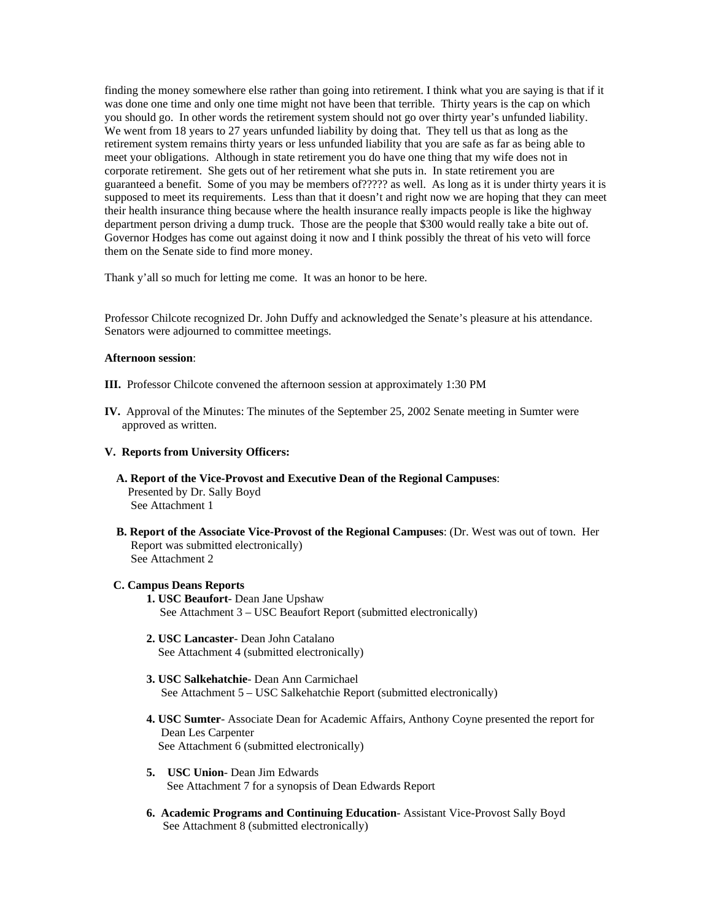finding the money somewhere else rather than going into retirement. I think what you are saying is that if it was done one time and only one time might not have been that terrible. Thirty years is the cap on which you should go. In other words the retirement system should not go over thirty year's unfunded liability. We went from 18 years to 27 years unfunded liability by doing that. They tell us that as long as the retirement system remains thirty years or less unfunded liability that you are safe as far as being able to meet your obligations. Although in state retirement you do have one thing that my wife does not in corporate retirement. She gets out of her retirement what she puts in. In state retirement you are guaranteed a benefit. Some of you may be members of????? as well. As long as it is under thirty years it is supposed to meet its requirements. Less than that it doesn't and right now we are hoping that they can meet their health insurance thing because where the health insurance really impacts people is like the highway department person driving a dump truck. Those are the people that \$300 would really take a bite out of. Governor Hodges has come out against doing it now and I think possibly the threat of his veto will force them on the Senate side to find more money.

Thank y'all so much for letting me come. It was an honor to be here.

Professor Chilcote recognized Dr. John Duffy and acknowledged the Senate's pleasure at his attendance. Senators were adjourned to committee meetings.

#### **Afternoon session**:

- **III.** Professor Chilcote convened the afternoon session at approximately 1:30 PM
- **IV.** Approval of the Minutes: The minutes of the September 25, 2002 Senate meeting in Sumter were approved as written.

#### **V. Reports from University Officers:**

- **A. Report of the Vice-Provost and Executive Dean of the Regional Campuses**: Presented by Dr. Sally Boyd See Attachment 1
- **B. Report of the Associate Vice-Provost of the Regional Campuses**: (Dr. West was out of town. Her Report was submitted electronically) See Attachment 2

#### **C. Campus Deans Reports**

- **1. USC Beaufort** Dean Jane Upshaw See Attachment 3 – USC Beaufort Report (submitted electronically)
- **2. USC Lancaster** Dean John Catalano See Attachment 4 (submitted electronically)
- **3. USC Salkehatchie** Dean Ann Carmichael See Attachment 5 – USC Salkehatchie Report (submitted electronically)
- **4. USC Sumter** Associate Dean for Academic Affairs, Anthony Coyne presented the report for Dean Les Carpenter See Attachment 6 (submitted electronically)
- **5. USC Union** Dean Jim Edwards See Attachment 7 for a synopsis of Dean Edwards Report
- **6. Academic Programs and Continuing Education** Assistant Vice-Provost Sally Boyd See Attachment 8 (submitted electronically)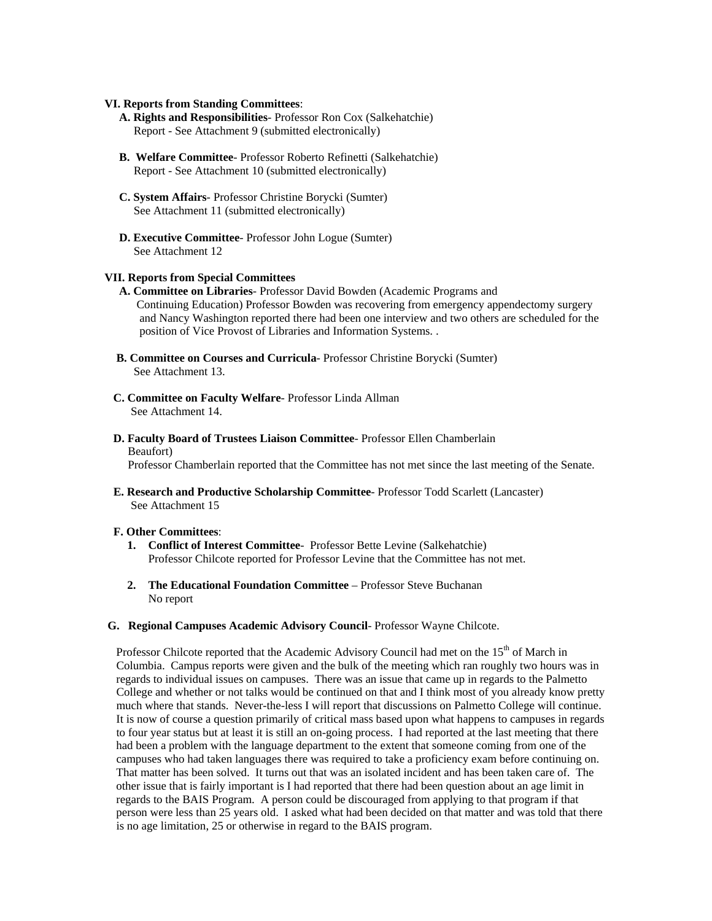#### **VI. Reports from Standing Committees**:

- **A. Rights and Responsibilities** Professor Ron Cox (Salkehatchie) Report - See Attachment 9 (submitted electronically)
- **B. Welfare Committee** Professor Roberto Refinetti (Salkehatchie) Report - See Attachment 10 (submitted electronically)
- **C. System Affairs** Professor Christine Borycki (Sumter) See Attachment 11 (submitted electronically)
- **D. Executive Committee** Professor John Logue (Sumter) See Attachment 12

#### **VII. Reports from Special Committees**

- **A. Committee on Libraries** Professor David Bowden (Academic Programs and Continuing Education) Professor Bowden was recovering from emergency appendectomy surgery and Nancy Washington reported there had been one interview and two others are scheduled for the position of Vice Provost of Libraries and Information Systems. .
- **B. Committee on Courses and Curricula** Professor Christine Borycki (Sumter) See Attachment 13.
- **C. Committee on Faculty Welfare** Professor Linda Allman See Attachment 14.
- **D. Faculty Board of Trustees Liaison Committee** Professor Ellen Chamberlain Beaufort)

Professor Chamberlain reported that the Committee has not met since the last meeting of the Senate.

 **E. Research and Productive Scholarship Committee**- Professor Todd Scarlett (Lancaster) See Attachment 15

#### **F. Other Committees**:

- **1. Conflict of Interest Committee** Professor Bette Levine (Salkehatchie) Professor Chilcote reported for Professor Levine that the Committee has not met.
- **2. The Educational Foundation Committee** Professor Steve Buchanan No report
- **G. Regional Campuses Academic Advisory Council** Professor Wayne Chilcote.

Professor Chilcote reported that the Academic Advisory Council had met on the 15<sup>th</sup> of March in Columbia. Campus reports were given and the bulk of the meeting which ran roughly two hours was in regards to individual issues on campuses. There was an issue that came up in regards to the Palmetto College and whether or not talks would be continued on that and I think most of you already know pretty much where that stands. Never-the-less I will report that discussions on Palmetto College will continue. It is now of course a question primarily of critical mass based upon what happens to campuses in regards to four year status but at least it is still an on-going process. I had reported at the last meeting that there had been a problem with the language department to the extent that someone coming from one of the campuses who had taken languages there was required to take a proficiency exam before continuing on. That matter has been solved. It turns out that was an isolated incident and has been taken care of. The other issue that is fairly important is I had reported that there had been question about an age limit in regards to the BAIS Program. A person could be discouraged from applying to that program if that person were less than 25 years old. I asked what had been decided on that matter and was told that there is no age limitation, 25 or otherwise in regard to the BAIS program.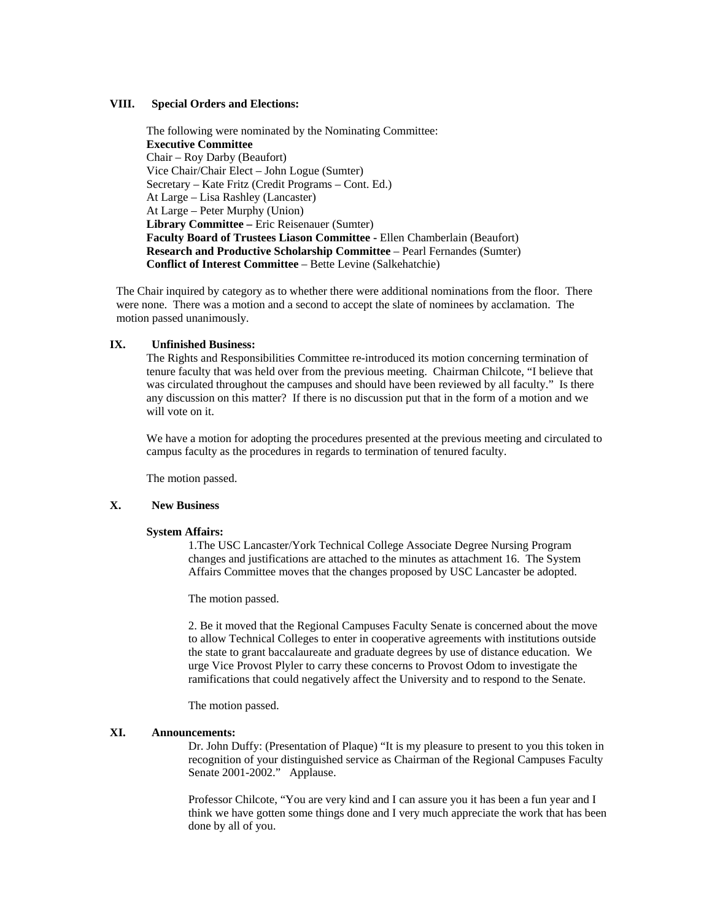#### **VIII. Special Orders and Elections:**

The following were nominated by the Nominating Committee: **Executive Committee**  Chair – Roy Darby (Beaufort) Vice Chair/Chair Elect – John Logue (Sumter) Secretary – Kate Fritz (Credit Programs – Cont. Ed.) At Large – Lisa Rashley (Lancaster) At Large – Peter Murphy (Union)  **Library Committee –** Eric Reisenauer (Sumter)  **Faculty Board of Trustees Liason Committee -** Ellen Chamberlain (Beaufort) **Research and Productive Scholarship Committee** – Pearl Fernandes (Sumter) **Conflict of Interest Committee** – Bette Levine (Salkehatchie)

 The Chair inquired by category as to whether there were additional nominations from the floor. There were none. There was a motion and a second to accept the slate of nominees by acclamation. The motion passed unanimously.

#### **IX. Unfinished Business:**

The Rights and Responsibilities Committee re-introduced its motion concerning termination of tenure faculty that was held over from the previous meeting. Chairman Chilcote, "I believe that was circulated throughout the campuses and should have been reviewed by all faculty." Is there any discussion on this matter? If there is no discussion put that in the form of a motion and we will vote on it.

We have a motion for adopting the procedures presented at the previous meeting and circulated to campus faculty as the procedures in regards to termination of tenured faculty.

The motion passed.

#### **X. New Business**

#### **System Affairs:**

1.The USC Lancaster/York Technical College Associate Degree Nursing Program changes and justifications are attached to the minutes as attachment 16. The System Affairs Committee moves that the changes proposed by USC Lancaster be adopted.

The motion passed.

2. Be it moved that the Regional Campuses Faculty Senate is concerned about the move to allow Technical Colleges to enter in cooperative agreements with institutions outside the state to grant baccalaureate and graduate degrees by use of distance education. We urge Vice Provost Plyler to carry these concerns to Provost Odom to investigate the ramifications that could negatively affect the University and to respond to the Senate.

The motion passed.

#### **XI. Announcements:**

Dr. John Duffy: (Presentation of Plaque) "It is my pleasure to present to you this token in recognition of your distinguished service as Chairman of the Regional Campuses Faculty Senate 2001-2002." Applause.

Professor Chilcote, "You are very kind and I can assure you it has been a fun year and I think we have gotten some things done and I very much appreciate the work that has been done by all of you.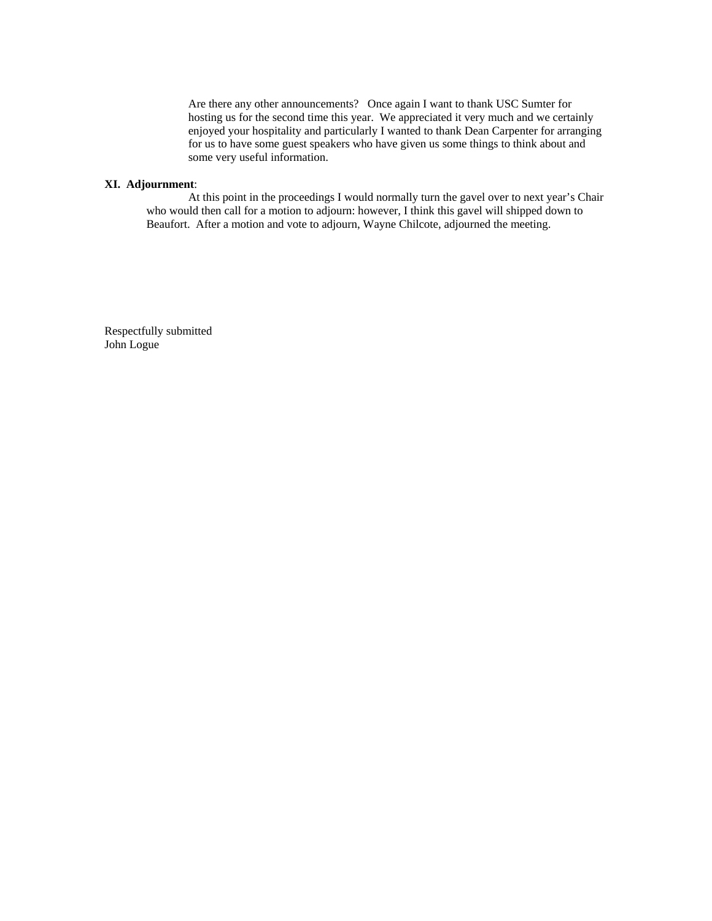Are there any other announcements? Once again I want to thank USC Sumter for hosting us for the second time this year. We appreciated it very much and we certainly enjoyed your hospitality and particularly I wanted to thank Dean Carpenter for arranging for us to have some guest speakers who have given us some things to think about and some very useful information.

#### **XI. Adjournment**:

At this point in the proceedings I would normally turn the gavel over to next year's Chair who would then call for a motion to adjourn: however, I think this gavel will shipped down to Beaufort. After a motion and vote to adjourn, Wayne Chilcote, adjourned the meeting.

Respectfully submitted John Logue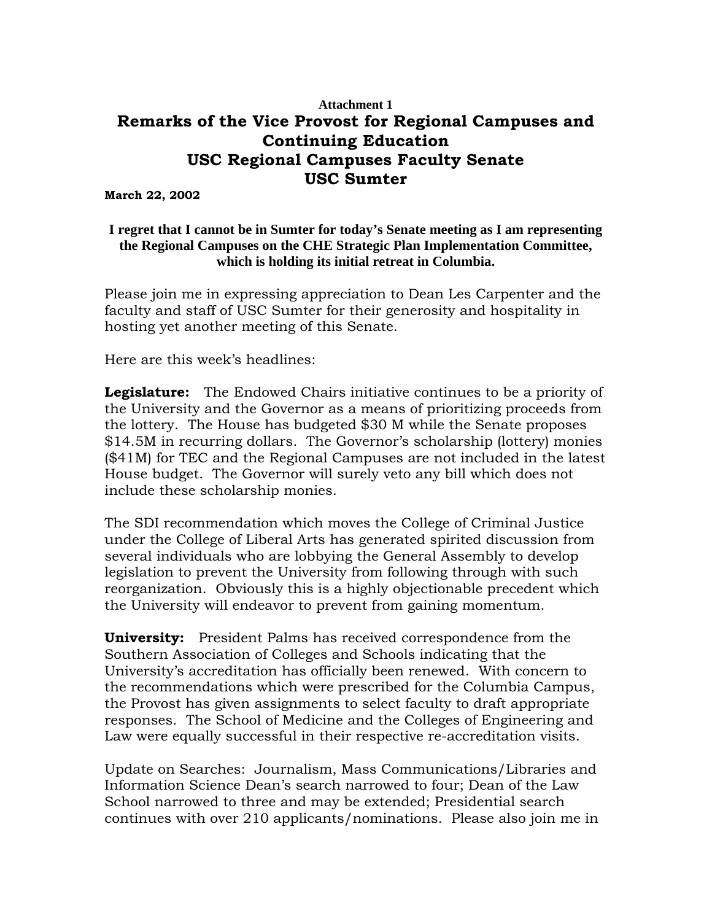## **Attachment 1 Remarks of the Vice Provost for Regional Campuses and Continuing Education USC Regional Campuses Faculty Senate USC Sumter**

**March 22, 2002** 

### **I regret that I cannot be in Sumter for today's Senate meeting as I am representing the Regional Campuses on the CHE Strategic Plan Implementation Committee, which is holding its initial retreat in Columbia.**

Please join me in expressing appreciation to Dean Les Carpenter and the faculty and staff of USC Sumter for their generosity and hospitality in hosting yet another meeting of this Senate.

Here are this week's headlines:

**Legislature:** The Endowed Chairs initiative continues to be a priority of the University and the Governor as a means of prioritizing proceeds from the lottery. The House has budgeted \$30 M while the Senate proposes \$14.5M in recurring dollars. The Governor's scholarship (lottery) monies (\$41M) for TEC and the Regional Campuses are not included in the latest House budget. The Governor will surely veto any bill which does not include these scholarship monies.

The SDI recommendation which moves the College of Criminal Justice under the College of Liberal Arts has generated spirited discussion from several individuals who are lobbying the General Assembly to develop legislation to prevent the University from following through with such reorganization. Obviously this is a highly objectionable precedent which the University will endeavor to prevent from gaining momentum.

**University:** President Palms has received correspondence from the Southern Association of Colleges and Schools indicating that the University's accreditation has officially been renewed. With concern to the recommendations which were prescribed for the Columbia Campus, the Provost has given assignments to select faculty to draft appropriate responses. The School of Medicine and the Colleges of Engineering and Law were equally successful in their respective re-accreditation visits.

Update on Searches: Journalism, Mass Communications/Libraries and Information Science Dean's search narrowed to four; Dean of the Law School narrowed to three and may be extended; Presidential search continues with over 210 applicants/nominations. Please also join me in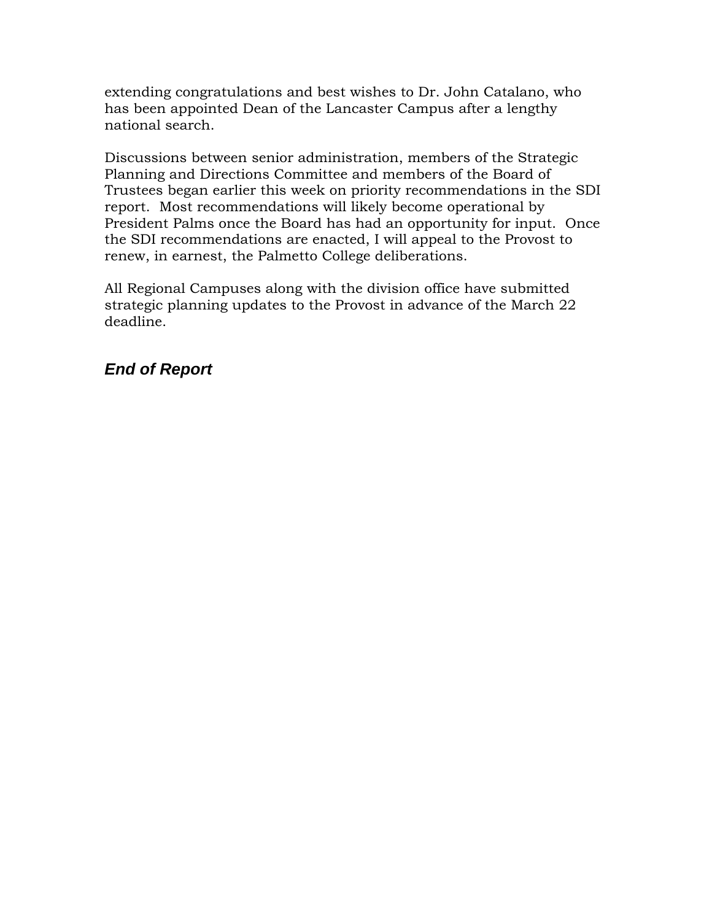extending congratulations and best wishes to Dr. John Catalano, who has been appointed Dean of the Lancaster Campus after a lengthy national search.

Discussions between senior administration, members of the Strategic Planning and Directions Committee and members of the Board of Trustees began earlier this week on priority recommendations in the SDI report. Most recommendations will likely become operational by President Palms once the Board has had an opportunity for input. Once the SDI recommendations are enacted, I will appeal to the Provost to renew, in earnest, the Palmetto College deliberations.

All Regional Campuses along with the division office have submitted strategic planning updates to the Provost in advance of the March 22 deadline.

# *End of Report*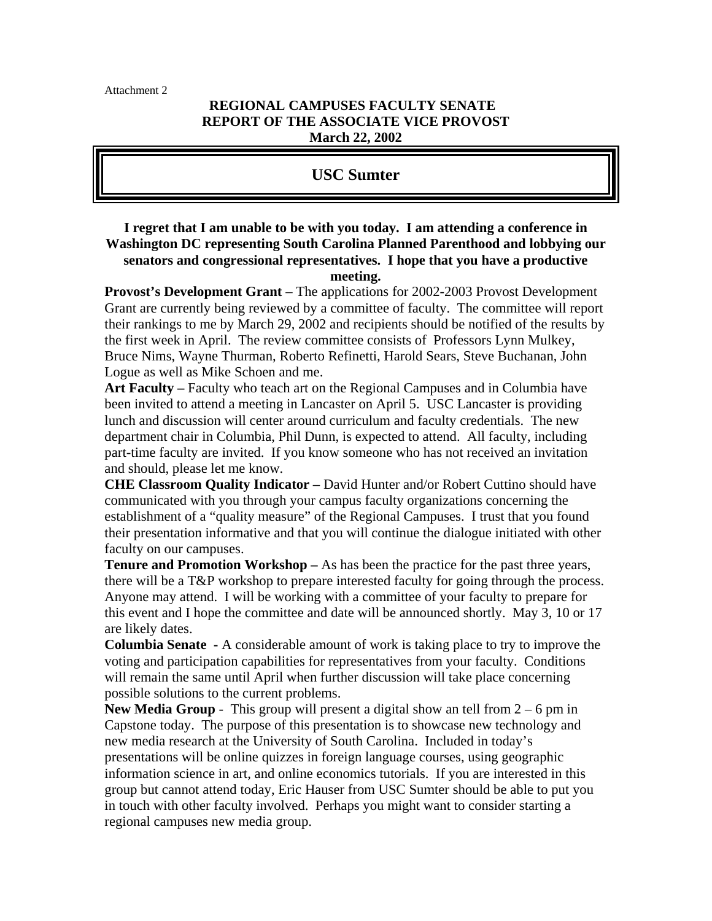Attachment 2

### **REGIONAL CAMPUSES FACULTY SENATE REPORT OF THE ASSOCIATE VICE PROVOST March 22, 2002**

### **USC Sumter**

### **I regret that I am unable to be with you today. I am attending a conference in Washington DC representing South Carolina Planned Parenthood and lobbying our senators and congressional representatives. I hope that you have a productive meeting.**

**Provost's Development Grant** – The applications for 2002-2003 Provost Development Grant are currently being reviewed by a committee of faculty. The committee will report their rankings to me by March 29, 2002 and recipients should be notified of the results by the first week in April. The review committee consists of Professors Lynn Mulkey, Bruce Nims, Wayne Thurman, Roberto Refinetti, Harold Sears, Steve Buchanan, John Logue as well as Mike Schoen and me.

**Art Faculty –** Faculty who teach art on the Regional Campuses and in Columbia have been invited to attend a meeting in Lancaster on April 5. USC Lancaster is providing lunch and discussion will center around curriculum and faculty credentials. The new department chair in Columbia, Phil Dunn, is expected to attend. All faculty, including part-time faculty are invited. If you know someone who has not received an invitation and should, please let me know.

**CHE Classroom Quality Indicator –** David Hunter and/or Robert Cuttino should have communicated with you through your campus faculty organizations concerning the establishment of a "quality measure" of the Regional Campuses. I trust that you found their presentation informative and that you will continue the dialogue initiated with other faculty on our campuses.

**Tenure and Promotion Workshop –** As has been the practice for the past three years, there will be a T&P workshop to prepare interested faculty for going through the process. Anyone may attend. I will be working with a committee of your faculty to prepare for this event and I hope the committee and date will be announced shortly. May 3, 10 or 17 are likely dates.

**Columbia Senate -** A considerable amount of work is taking place to try to improve the voting and participation capabilities for representatives from your faculty. Conditions will remain the same until April when further discussion will take place concerning possible solutions to the current problems.

**New Media Group** - This group will present a digital show an tell from  $2 - 6$  pm in Capstone today. The purpose of this presentation is to showcase new technology and new media research at the University of South Carolina. Included in today's presentations will be online quizzes in foreign language courses, using geographic information science in art, and online economics tutorials. If you are interested in this group but cannot attend today, Eric Hauser from USC Sumter should be able to put you in touch with other faculty involved. Perhaps you might want to consider starting a regional campuses new media group.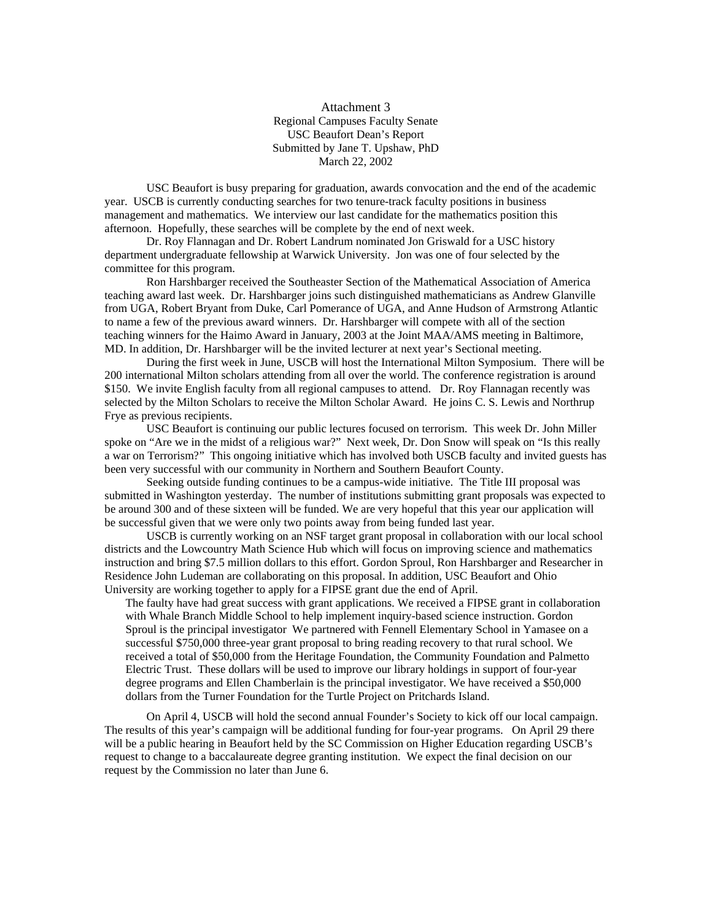#### Attachment 3 Regional Campuses Faculty Senate USC Beaufort Dean's Report Submitted by Jane T. Upshaw, PhD March 22, 2002

USC Beaufort is busy preparing for graduation, awards convocation and the end of the academic year. USCB is currently conducting searches for two tenure-track faculty positions in business management and mathematics. We interview our last candidate for the mathematics position this afternoon. Hopefully, these searches will be complete by the end of next week.

Dr. Roy Flannagan and Dr. Robert Landrum nominated Jon Griswald for a USC history department undergraduate fellowship at Warwick University. Jon was one of four selected by the committee for this program.

Ron Harshbarger received the Southeaster Section of the Mathematical Association of America teaching award last week. Dr. Harshbarger joins such distinguished mathematicians as Andrew Glanville from UGA, Robert Bryant from Duke, Carl Pomerance of UGA, and Anne Hudson of Armstrong Atlantic to name a few of the previous award winners. Dr. Harshbarger will compete with all of the section teaching winners for the Haimo Award in January, 2003 at the Joint MAA/AMS meeting in Baltimore, MD. In addition, Dr. Harshbarger will be the invited lecturer at next year's Sectional meeting.

During the first week in June, USCB will host the International Milton Symposium. There will be 200 international Milton scholars attending from all over the world. The conference registration is around \$150. We invite English faculty from all regional campuses to attend. Dr. Roy Flannagan recently was selected by the Milton Scholars to receive the Milton Scholar Award. He joins C. S. Lewis and Northrup Frye as previous recipients.

USC Beaufort is continuing our public lectures focused on terrorism. This week Dr. John Miller spoke on "Are we in the midst of a religious war?" Next week, Dr. Don Snow will speak on "Is this really a war on Terrorism?" This ongoing initiative which has involved both USCB faculty and invited guests has been very successful with our community in Northern and Southern Beaufort County.

Seeking outside funding continues to be a campus-wide initiative. The Title III proposal was submitted in Washington yesterday. The number of institutions submitting grant proposals was expected to be around 300 and of these sixteen will be funded. We are very hopeful that this year our application will be successful given that we were only two points away from being funded last year.

USCB is currently working on an NSF target grant proposal in collaboration with our local school districts and the Lowcountry Math Science Hub which will focus on improving science and mathematics instruction and bring \$7.5 million dollars to this effort. Gordon Sproul, Ron Harshbarger and Researcher in Residence John Ludeman are collaborating on this proposal. In addition, USC Beaufort and Ohio University are working together to apply for a FIPSE grant due the end of April.

The faulty have had great success with grant applications. We received a FIPSE grant in collaboration with Whale Branch Middle School to help implement inquiry-based science instruction. Gordon Sproul is the principal investigator We partnered with Fennell Elementary School in Yamasee on a successful \$750,000 three-year grant proposal to bring reading recovery to that rural school. We received a total of \$50,000 from the Heritage Foundation, the Community Foundation and Palmetto Electric Trust. These dollars will be used to improve our library holdings in support of four-year degree programs and Ellen Chamberlain is the principal investigator. We have received a \$50,000 dollars from the Turner Foundation for the Turtle Project on Pritchards Island.

On April 4, USCB will hold the second annual Founder's Society to kick off our local campaign. The results of this year's campaign will be additional funding for four-year programs. On April 29 there will be a public hearing in Beaufort held by the SC Commission on Higher Education regarding USCB's request to change to a baccalaureate degree granting institution. We expect the final decision on our request by the Commission no later than June 6.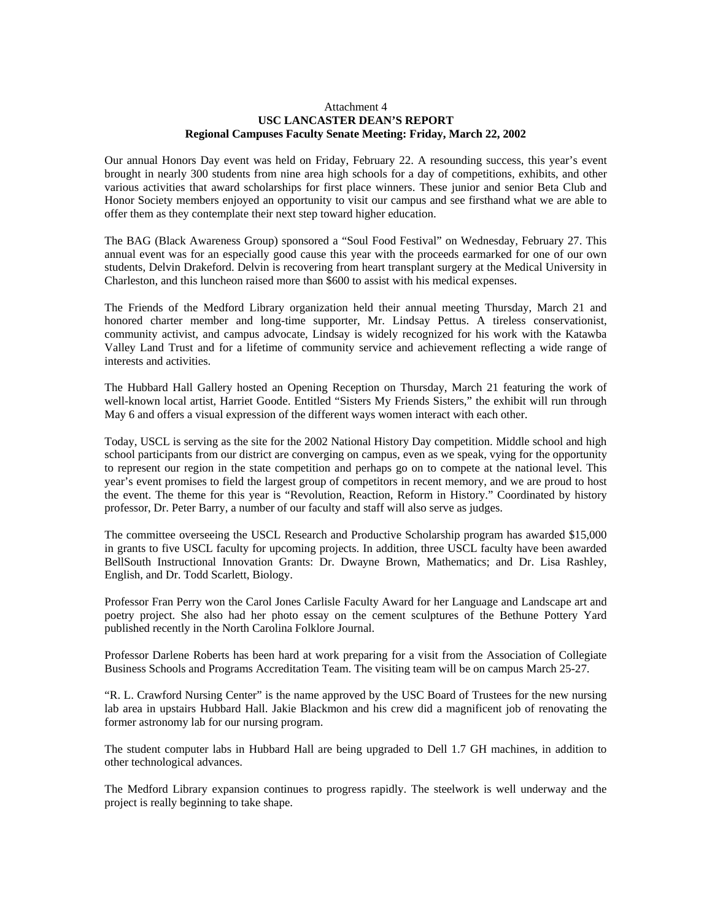#### Attachment 4 **USC LANCASTER DEAN'S REPORT Regional Campuses Faculty Senate Meeting: Friday, March 22, 2002**

Our annual Honors Day event was held on Friday, February 22. A resounding success, this year's event brought in nearly 300 students from nine area high schools for a day of competitions, exhibits, and other various activities that award scholarships for first place winners. These junior and senior Beta Club and Honor Society members enjoyed an opportunity to visit our campus and see firsthand what we are able to offer them as they contemplate their next step toward higher education.

The BAG (Black Awareness Group) sponsored a "Soul Food Festival" on Wednesday, February 27. This annual event was for an especially good cause this year with the proceeds earmarked for one of our own students, Delvin Drakeford. Delvin is recovering from heart transplant surgery at the Medical University in Charleston, and this luncheon raised more than \$600 to assist with his medical expenses.

The Friends of the Medford Library organization held their annual meeting Thursday, March 21 and honored charter member and long-time supporter, Mr. Lindsay Pettus. A tireless conservationist, community activist, and campus advocate, Lindsay is widely recognized for his work with the Katawba Valley Land Trust and for a lifetime of community service and achievement reflecting a wide range of interests and activities.

The Hubbard Hall Gallery hosted an Opening Reception on Thursday, March 21 featuring the work of well-known local artist, Harriet Goode. Entitled "Sisters My Friends Sisters," the exhibit will run through May 6 and offers a visual expression of the different ways women interact with each other.

Today, USCL is serving as the site for the 2002 National History Day competition. Middle school and high school participants from our district are converging on campus, even as we speak, vying for the opportunity to represent our region in the state competition and perhaps go on to compete at the national level. This year's event promises to field the largest group of competitors in recent memory, and we are proud to host the event. The theme for this year is "Revolution, Reaction, Reform in History." Coordinated by history professor, Dr. Peter Barry, a number of our faculty and staff will also serve as judges.

The committee overseeing the USCL Research and Productive Scholarship program has awarded \$15,000 in grants to five USCL faculty for upcoming projects. In addition, three USCL faculty have been awarded BellSouth Instructional Innovation Grants: Dr. Dwayne Brown, Mathematics; and Dr. Lisa Rashley, English, and Dr. Todd Scarlett, Biology.

Professor Fran Perry won the Carol Jones Carlisle Faculty Award for her Language and Landscape art and poetry project. She also had her photo essay on the cement sculptures of the Bethune Pottery Yard published recently in the North Carolina Folklore Journal.

Professor Darlene Roberts has been hard at work preparing for a visit from the Association of Collegiate Business Schools and Programs Accreditation Team. The visiting team will be on campus March 25-27.

"R. L. Crawford Nursing Center" is the name approved by the USC Board of Trustees for the new nursing lab area in upstairs Hubbard Hall. Jakie Blackmon and his crew did a magnificent job of renovating the former astronomy lab for our nursing program.

The student computer labs in Hubbard Hall are being upgraded to Dell 1.7 GH machines, in addition to other technological advances.

The Medford Library expansion continues to progress rapidly. The steelwork is well underway and the project is really beginning to take shape.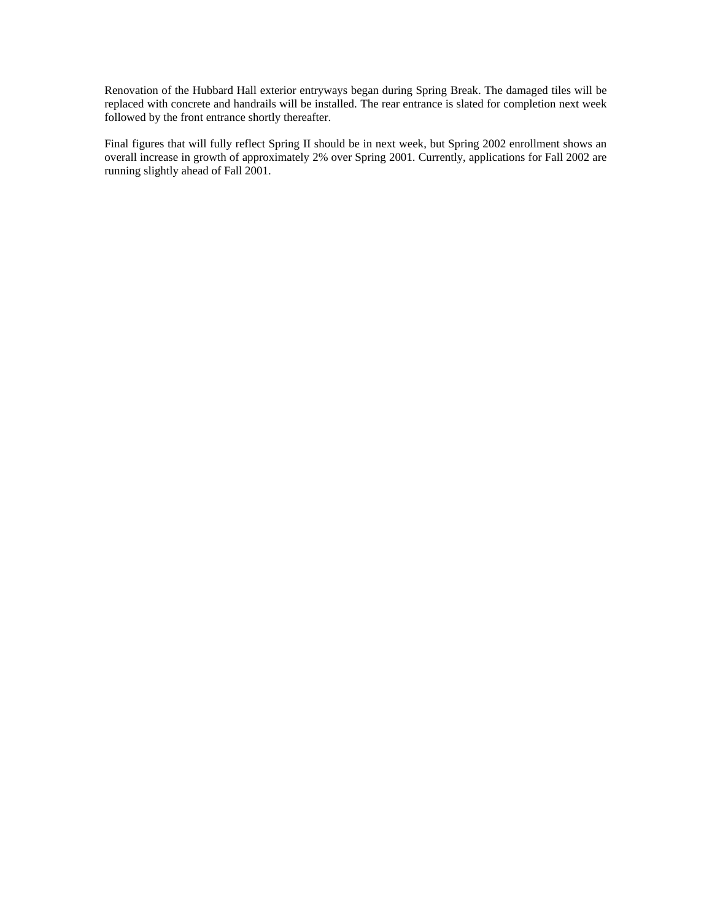Renovation of the Hubbard Hall exterior entryways began during Spring Break. The damaged tiles will be replaced with concrete and handrails will be installed. The rear entrance is slated for completion next week followed by the front entrance shortly thereafter.

Final figures that will fully reflect Spring II should be in next week, but Spring 2002 enrollment shows an overall increase in growth of approximately 2% over Spring 2001. Currently, applications for Fall 2002 are running slightly ahead of Fall 2001.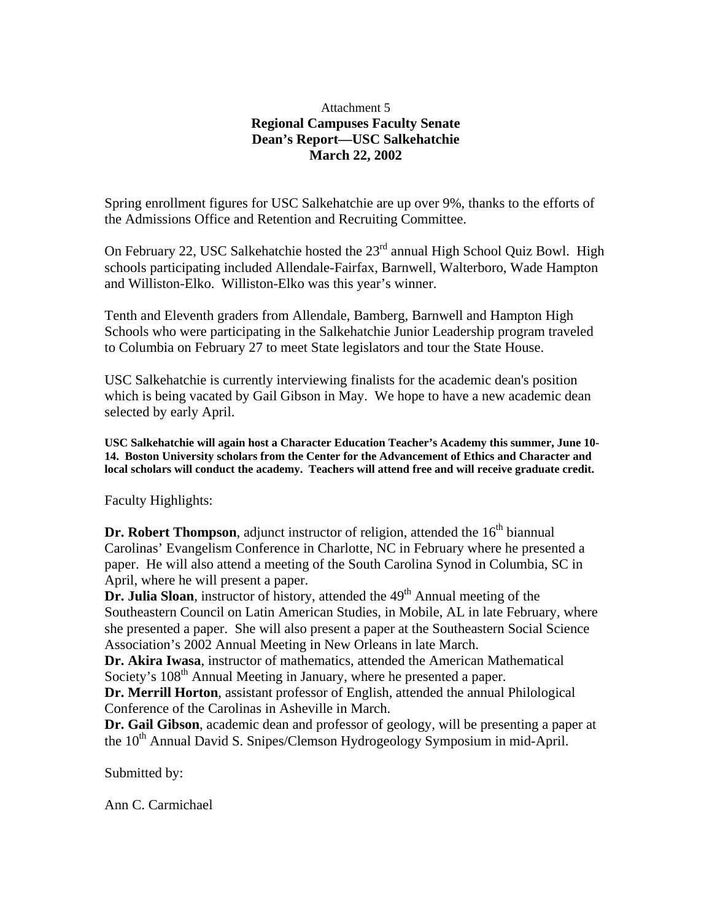### Attachment 5 **Regional Campuses Faculty Senate Dean's Report—USC Salkehatchie March 22, 2002**

Spring enrollment figures for USC Salkehatchie are up over 9%, thanks to the efforts of the Admissions Office and Retention and Recruiting Committee.

On February 22, USC Salkehatchie hosted the 23<sup>rd</sup> annual High School Quiz Bowl. High schools participating included Allendale-Fairfax, Barnwell, Walterboro, Wade Hampton and Williston-Elko. Williston-Elko was this year's winner.

Tenth and Eleventh graders from Allendale, Bamberg, Barnwell and Hampton High Schools who were participating in the Salkehatchie Junior Leadership program traveled to Columbia on February 27 to meet State legislators and tour the State House.

USC Salkehatchie is currently interviewing finalists for the academic dean's position which is being vacated by Gail Gibson in May. We hope to have a new academic dean selected by early April.

**USC Salkehatchie will again host a Character Education Teacher's Academy this summer, June 10- 14. Boston University scholars from the Center for the Advancement of Ethics and Character and local scholars will conduct the academy. Teachers will attend free and will receive graduate credit.** 

Faculty Highlights:

**Dr. Robert Thompson**, adjunct instructor of religion, attended the 16<sup>th</sup> biannual Carolinas' Evangelism Conference in Charlotte, NC in February where he presented a paper. He will also attend a meeting of the South Carolina Synod in Columbia, SC in April, where he will present a paper.

**Dr. Julia Sloan**, instructor of history, attended the 49<sup>th</sup> Annual meeting of the Southeastern Council on Latin American Studies, in Mobile, AL in late February, where she presented a paper. She will also present a paper at the Southeastern Social Science Association's 2002 Annual Meeting in New Orleans in late March.

**Dr. Akira Iwasa**, instructor of mathematics, attended the American Mathematical Society's 108<sup>th</sup> Annual Meeting in January, where he presented a paper.

**Dr. Merrill Horton**, assistant professor of English, attended the annual Philological Conference of the Carolinas in Asheville in March.

**Dr. Gail Gibson**, academic dean and professor of geology, will be presenting a paper at the 10<sup>th</sup> Annual David S. Snipes/Clemson Hydrogeology Symposium in mid-April.

Submitted by:

Ann C. Carmichael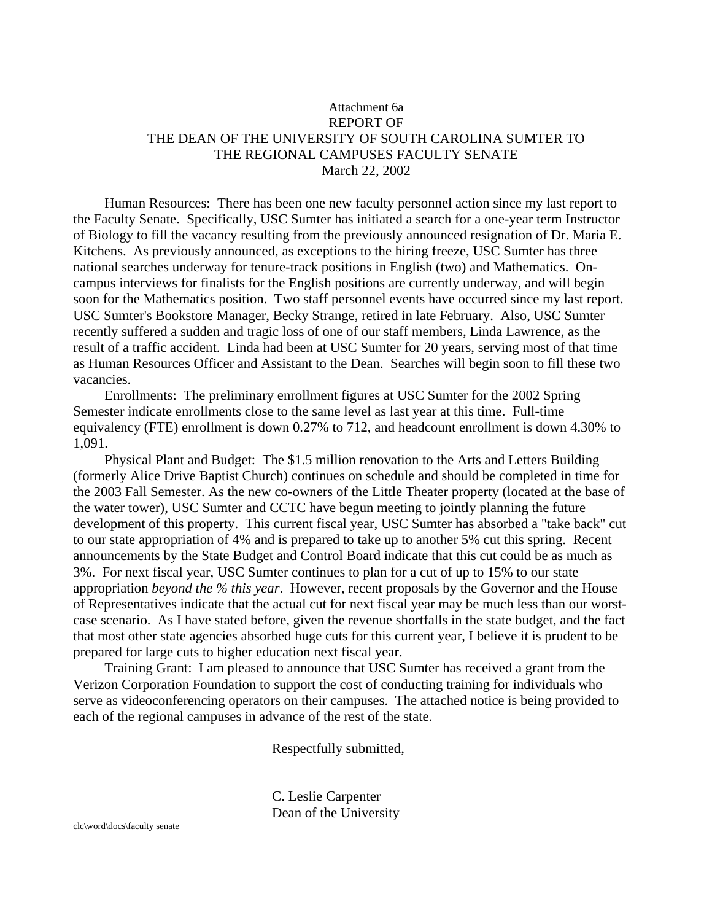### Attachment 6a REPORT OF THE DEAN OF THE UNIVERSITY OF SOUTH CAROLINA SUMTER TO THE REGIONAL CAMPUSES FACULTY SENATE March 22, 2002

Human Resources: There has been one new faculty personnel action since my last report to the Faculty Senate. Specifically, USC Sumter has initiated a search for a one-year term Instructor of Biology to fill the vacancy resulting from the previously announced resignation of Dr. Maria E. Kitchens. As previously announced, as exceptions to the hiring freeze, USC Sumter has three national searches underway for tenure-track positions in English (two) and Mathematics. Oncampus interviews for finalists for the English positions are currently underway, and will begin soon for the Mathematics position. Two staff personnel events have occurred since my last report. USC Sumter's Bookstore Manager, Becky Strange, retired in late February. Also, USC Sumter recently suffered a sudden and tragic loss of one of our staff members, Linda Lawrence, as the result of a traffic accident. Linda had been at USC Sumter for 20 years, serving most of that time as Human Resources Officer and Assistant to the Dean. Searches will begin soon to fill these two vacancies.

Enrollments: The preliminary enrollment figures at USC Sumter for the 2002 Spring Semester indicate enrollments close to the same level as last year at this time. Full-time equivalency (FTE) enrollment is down 0.27% to 712, and headcount enrollment is down 4.30% to 1,091.

Physical Plant and Budget: The \$1.5 million renovation to the Arts and Letters Building (formerly Alice Drive Baptist Church) continues on schedule and should be completed in time for the 2003 Fall Semester. As the new co-owners of the Little Theater property (located at the base of the water tower), USC Sumter and CCTC have begun meeting to jointly planning the future development of this property. This current fiscal year, USC Sumter has absorbed a "take back" cut to our state appropriation of 4% and is prepared to take up to another 5% cut this spring. Recent announcements by the State Budget and Control Board indicate that this cut could be as much as 3%. For next fiscal year, USC Sumter continues to plan for a cut of up to 15% to our state appropriation *beyond the % this year*. However, recent proposals by the Governor and the House of Representatives indicate that the actual cut for next fiscal year may be much less than our worstcase scenario. As I have stated before, given the revenue shortfalls in the state budget, and the fact that most other state agencies absorbed huge cuts for this current year, I believe it is prudent to be prepared for large cuts to higher education next fiscal year.

Training Grant: I am pleased to announce that USC Sumter has received a grant from the Verizon Corporation Foundation to support the cost of conducting training for individuals who serve as videoconferencing operators on their campuses. The attached notice is being provided to each of the regional campuses in advance of the rest of the state.

Respectfully submitted,

C. Leslie Carpenter Dean of the University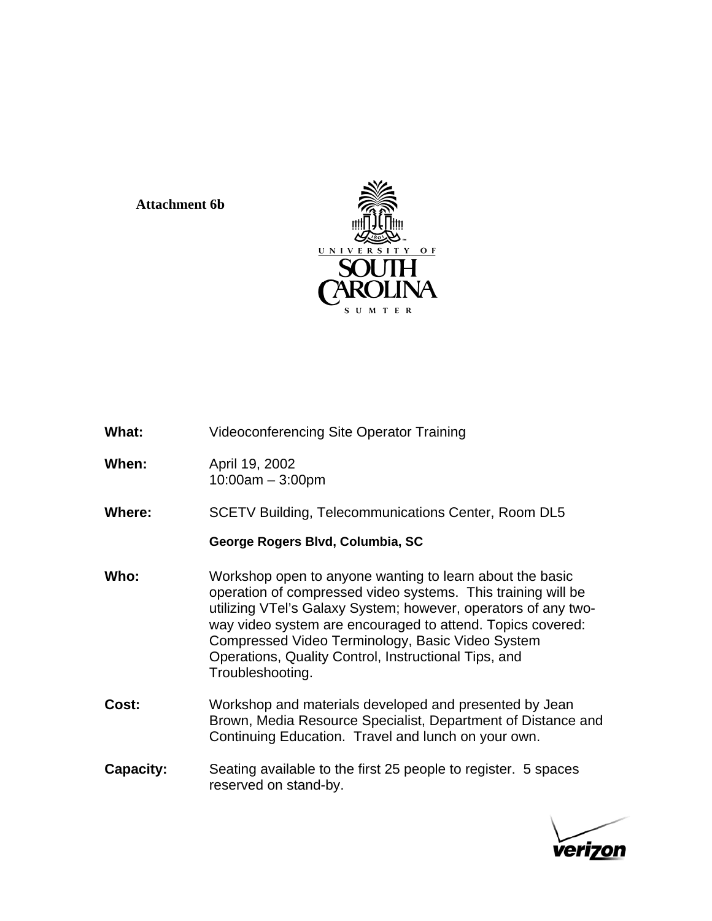### **Attachment 6b**



| What:            | <b>Videoconferencing Site Operator Training</b>                                                                                                                                                                                                                                                                                                                                          |  |  |
|------------------|------------------------------------------------------------------------------------------------------------------------------------------------------------------------------------------------------------------------------------------------------------------------------------------------------------------------------------------------------------------------------------------|--|--|
| When:            | April 19, 2002<br>$10:00am - 3:00pm$                                                                                                                                                                                                                                                                                                                                                     |  |  |
| Where:           | <b>SCETV Building, Telecommunications Center, Room DL5</b>                                                                                                                                                                                                                                                                                                                               |  |  |
|                  | George Rogers Blvd, Columbia, SC                                                                                                                                                                                                                                                                                                                                                         |  |  |
| Who:             | Workshop open to anyone wanting to learn about the basic<br>operation of compressed video systems. This training will be<br>utilizing VTel's Galaxy System; however, operators of any two-<br>way video system are encouraged to attend. Topics covered:<br>Compressed Video Terminology, Basic Video System<br>Operations, Quality Control, Instructional Tips, and<br>Troubleshooting. |  |  |
| Cost:            | Workshop and materials developed and presented by Jean<br>Brown, Media Resource Specialist, Department of Distance and<br>Continuing Education. Travel and lunch on your own.                                                                                                                                                                                                            |  |  |
| <b>Capacity:</b> | Seating available to the first 25 people to register. 5 spaces<br>reserved on stand-by.                                                                                                                                                                                                                                                                                                  |  |  |

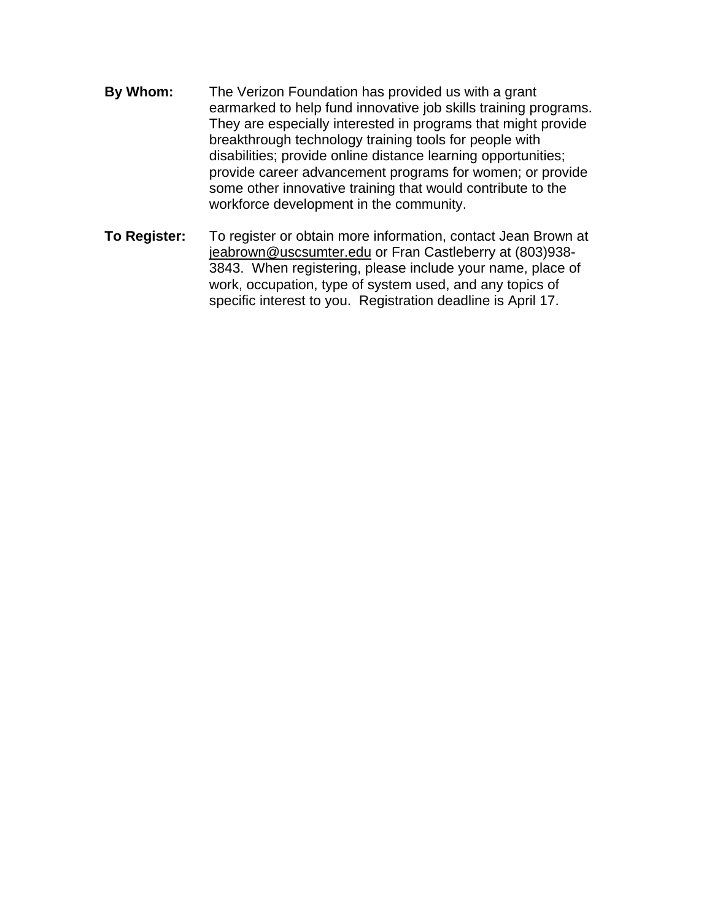- **By Whom:** The Verizon Foundation has provided us with a grant earmarked to help fund innovative job skills training programs. They are especially interested in programs that might provide breakthrough technology training tools for people with disabilities; provide online distance learning opportunities; provide career advancement programs for women; or provide some other innovative training that would contribute to the workforce development in the community.
- **To Register:** To register or obtain more information, contact Jean Brown at [jeabrown@uscsumter.edu](mailto:jeabrown@uscsumter.edu) or Fran Castleberry at (803)938- 3843. When registering, please include your name, place of work, occupation, type of system used, and any topics of specific interest to you. Registration deadline is April 17.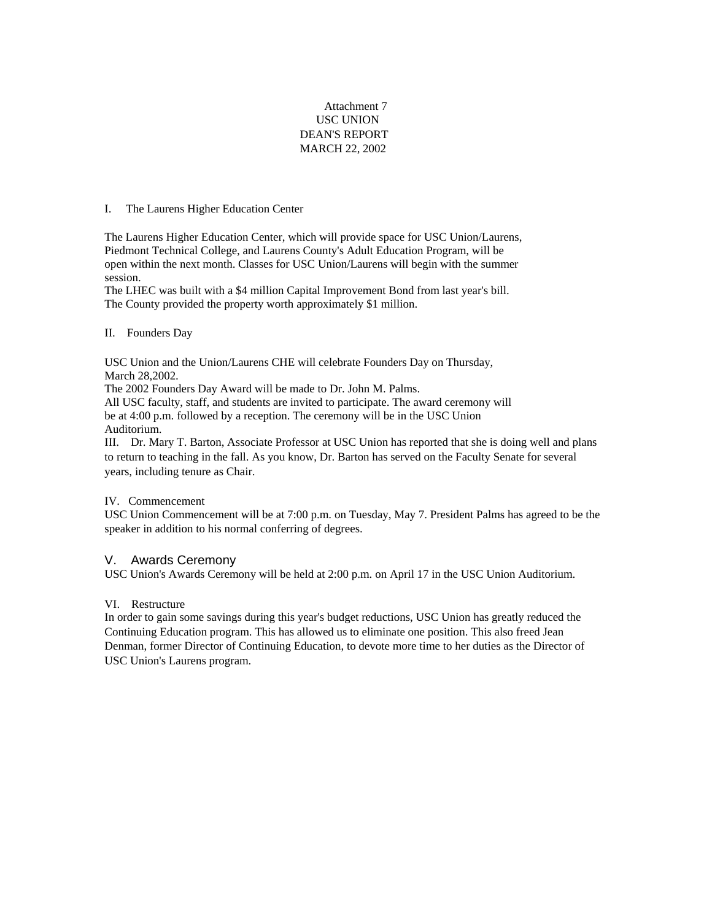#### Attachment 7 USC UNION DEAN'S REPORT MARCH 22, 2002

#### I. The Laurens Higher Education Center

The Laurens Higher Education Center, which will provide space for USC Union/Laurens, Piedmont Technical College, and Laurens County's Adult Education Program, will be open within the next month. Classes for USC Union/Laurens will begin with the summer session.

The LHEC was built with a \$4 million Capital Improvement Bond from last year's bill. The County provided the property worth approximately \$1 million.

#### II. Founders Day

USC Union and the Union/Laurens CHE will celebrate Founders Day on Thursday, March 28,2002.

The 2002 Founders Day Award will be made to Dr. John M. Palms.

All USC faculty, staff, and students are invited to participate. The award ceremony will be at 4:00 p.m. followed by a reception. The ceremony will be in the USC Union Auditorium.

III. Dr. Mary T. Barton, Associate Professor at USC Union has reported that she is doing well and plans to return to teaching in the fall. As you know, Dr. Barton has served on the Faculty Senate for several years, including tenure as Chair.

#### IV. Commencement

USC Union Commencement will be at 7:00 p.m. on Tuesday, May 7. President Palms has agreed to be the speaker in addition to his normal conferring of degrees.

#### V. Awards Ceremony

USC Union's Awards Ceremony will be held at 2:00 p.m. on April 17 in the USC Union Auditorium.

#### VI. Restructure

In order to gain some savings during this year's budget reductions, USC Union has greatly reduced the Continuing Education program. This has allowed us to eliminate one position. This also freed Jean Denman, former Director of Continuing Education, to devote more time to her duties as the Director of USC Union's Laurens program.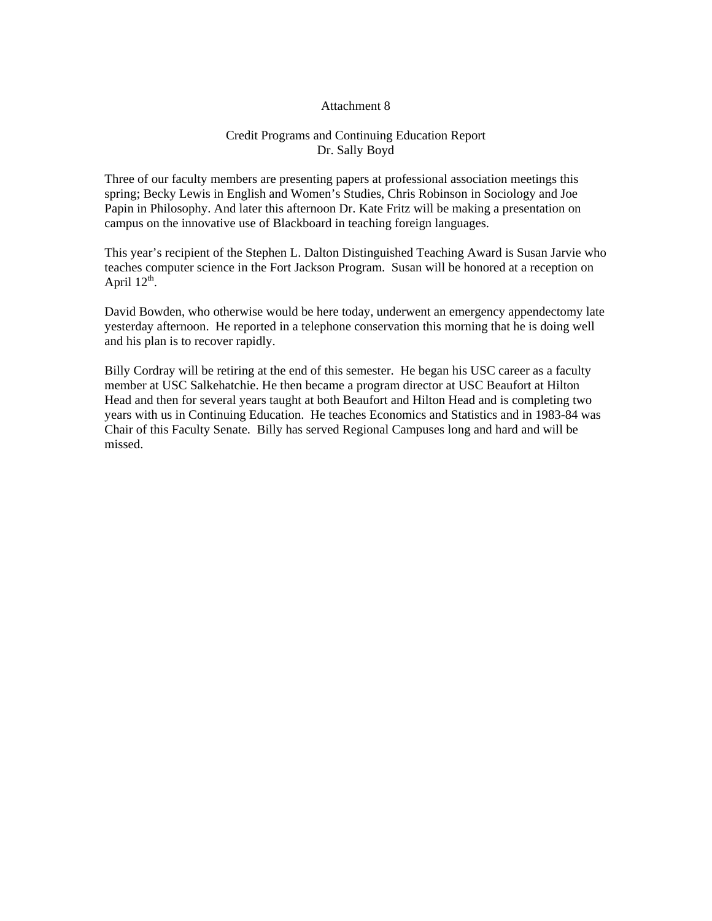#### Attachment 8

#### Credit Programs and Continuing Education Report Dr. Sally Boyd

Three of our faculty members are presenting papers at professional association meetings this spring; Becky Lewis in English and Women's Studies, Chris Robinson in Sociology and Joe Papin in Philosophy. And later this afternoon Dr. Kate Fritz will be making a presentation on campus on the innovative use of Blackboard in teaching foreign languages.

This year's recipient of the Stephen L. Dalton Distinguished Teaching Award is Susan Jarvie who teaches computer science in the Fort Jackson Program. Susan will be honored at a reception on April  $12^{th}$ .

David Bowden, who otherwise would be here today, underwent an emergency appendectomy late yesterday afternoon. He reported in a telephone conservation this morning that he is doing well and his plan is to recover rapidly.

Billy Cordray will be retiring at the end of this semester. He began his USC career as a faculty member at USC Salkehatchie. He then became a program director at USC Beaufort at Hilton Head and then for several years taught at both Beaufort and Hilton Head and is completing two years with us in Continuing Education. He teaches Economics and Statistics and in 1983-84 was Chair of this Faculty Senate. Billy has served Regional Campuses long and hard and will be missed.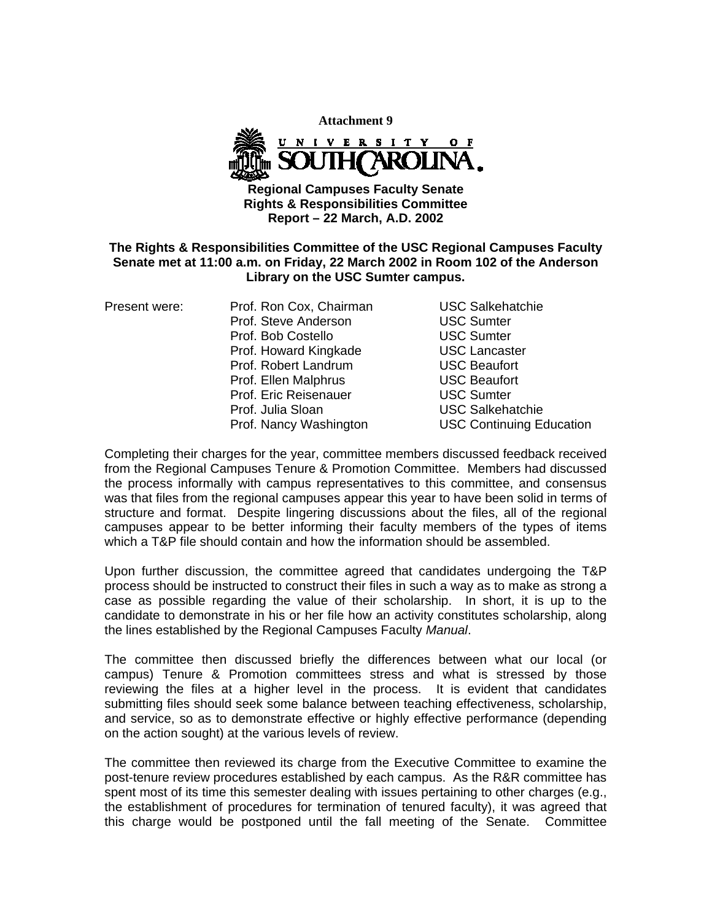

**Regional Campuses Faculty Senate Rights & Responsibilities Committee Report – 22 March, A.D. 2002** 

### **The Rights & Responsibilities Committee of the USC Regional Campuses Faculty Senate met at 11:00 a.m. on Friday, 22 March 2002 in Room 102 of the Anderson Library on the USC Sumter campus.**

| Present were: | Prof. Ron Cox, Chairman | <b>USC Salkehatchie</b>  |
|---------------|-------------------------|--------------------------|
|               | Prof. Steve Anderson    | <b>USC Sumter</b>        |
|               | Prof. Bob Costello      | <b>USC Sumter</b>        |
|               | Prof. Howard Kingkade   | <b>USC Lancaster</b>     |
|               | Prof. Robert Landrum    | <b>USC Beaufort</b>      |
|               | Prof. Ellen Malphrus    | <b>USC Beaufort</b>      |
|               | Prof. Eric Reisenauer   | <b>USC Sumter</b>        |
|               | Prof. Julia Sloan       | <b>USC Salkehatchie</b>  |
|               | Prof. Nancy Washington  | <b>USC Continuing Ed</b> |
|               |                         |                          |

**USC Sumter USC Sumter USC Lancaster USC Beaufort** USC Beaufort **USC Sumter** USC Salkehatchie **USC Continuing Education** 

Completing their charges for the year, committee members discussed feedback received from the Regional Campuses Tenure & Promotion Committee. Members had discussed the process informally with campus representatives to this committee, and consensus was that files from the regional campuses appear this year to have been solid in terms of structure and format. Despite lingering discussions about the files, all of the regional campuses appear to be better informing their faculty members of the types of items which a T&P file should contain and how the information should be assembled.

Upon further discussion, the committee agreed that candidates undergoing the T&P process should be instructed to construct their files in such a way as to make as strong a case as possible regarding the value of their scholarship. In short, it is up to the candidate to demonstrate in his or her file how an activity constitutes scholarship, along the lines established by the Regional Campuses Faculty *Manual*.

The committee then discussed briefly the differences between what our local (or campus) Tenure & Promotion committees stress and what is stressed by those reviewing the files at a higher level in the process. It is evident that candidates submitting files should seek some balance between teaching effectiveness, scholarship, and service, so as to demonstrate effective or highly effective performance (depending on the action sought) at the various levels of review.

The committee then reviewed its charge from the Executive Committee to examine the post-tenure review procedures established by each campus. As the R&R committee has spent most of its time this semester dealing with issues pertaining to other charges (e.g., the establishment of procedures for termination of tenured faculty), it was agreed that this charge would be postponed until the fall meeting of the Senate. Committee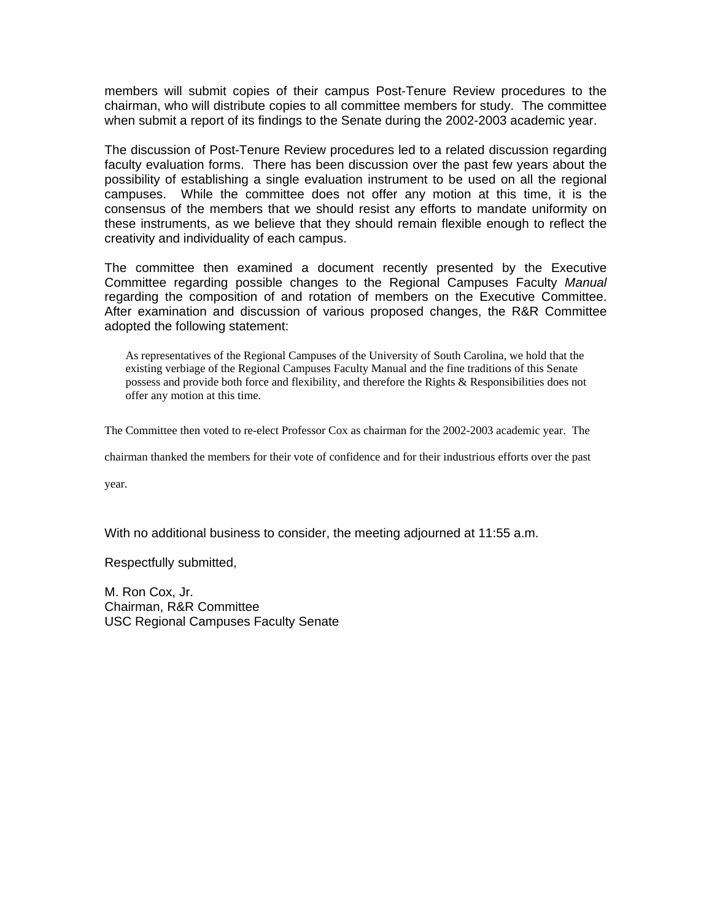members will submit copies of their campus Post-Tenure Review procedures to the chairman, who will distribute copies to all committee members for study. The committee when submit a report of its findings to the Senate during the 2002-2003 academic year.

The discussion of Post-Tenure Review procedures led to a related discussion regarding faculty evaluation forms. There has been discussion over the past few years about the possibility of establishing a single evaluation instrument to be used on all the regional campuses. While the committee does not offer any motion at this time, it is the consensus of the members that we should resist any efforts to mandate uniformity on these instruments, as we believe that they should remain flexible enough to reflect the creativity and individuality of each campus.

The committee then examined a document recently presented by the Executive Committee regarding possible changes to the Regional Campuses Faculty *Manual* regarding the composition of and rotation of members on the Executive Committee. After examination and discussion of various proposed changes, the R&R Committee adopted the following statement:

As representatives of the Regional Campuses of the University of South Carolina, we hold that the existing verbiage of the Regional Campuses Faculty Manual and the fine traditions of this Senate possess and provide both force and flexibility, and therefore the Rights & Responsibilities does not offer any motion at this time.

The Committee then voted to re-elect Professor Cox as chairman for the 2002-2003 academic year. The

chairman thanked the members for their vote of confidence and for their industrious efforts over the past

year.

With no additional business to consider, the meeting adjourned at 11:55 a.m.

Respectfully submitted,

M. Ron Cox, Jr. Chairman, R&R Committee USC Regional Campuses Faculty Senate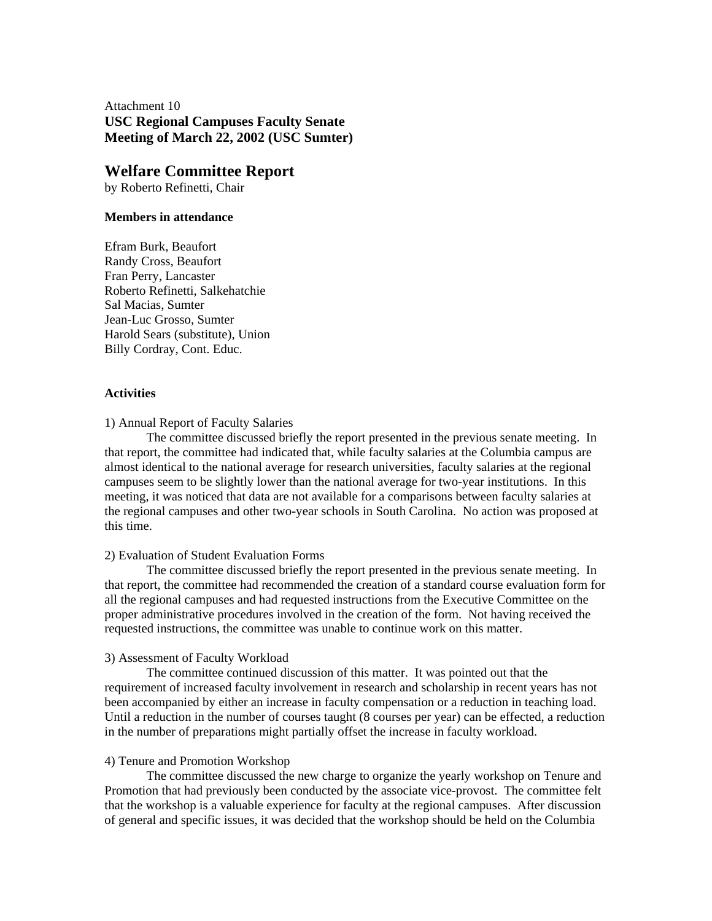Attachment 10 **USC Regional Campuses Faculty Senate Meeting of March 22, 2002 (USC Sumter)** 

### **Welfare Committee Report**

by Roberto Refinetti, Chair

#### **Members in attendance**

Efram Burk, Beaufort Randy Cross, Beaufort Fran Perry, Lancaster Roberto Refinetti, Salkehatchie Sal Macias, Sumter Jean-Luc Grosso, Sumter Harold Sears (substitute), Union Billy Cordray, Cont. Educ.

### **Activities**

1) Annual Report of Faculty Salaries

 The committee discussed briefly the report presented in the previous senate meeting. In that report, the committee had indicated that, while faculty salaries at the Columbia campus are almost identical to the national average for research universities, faculty salaries at the regional campuses seem to be slightly lower than the national average for two-year institutions. In this meeting, it was noticed that data are not available for a comparisons between faculty salaries at the regional campuses and other two-year schools in South Carolina. No action was proposed at this time.

### 2) Evaluation of Student Evaluation Forms

 The committee discussed briefly the report presented in the previous senate meeting. In that report, the committee had recommended the creation of a standard course evaluation form for all the regional campuses and had requested instructions from the Executive Committee on the proper administrative procedures involved in the creation of the form. Not having received the requested instructions, the committee was unable to continue work on this matter.

### 3) Assessment of Faculty Workload

 The committee continued discussion of this matter. It was pointed out that the requirement of increased faculty involvement in research and scholarship in recent years has not been accompanied by either an increase in faculty compensation or a reduction in teaching load. Until a reduction in the number of courses taught (8 courses per year) can be effected, a reduction in the number of preparations might partially offset the increase in faculty workload.

#### 4) Tenure and Promotion Workshop

 The committee discussed the new charge to organize the yearly workshop on Tenure and Promotion that had previously been conducted by the associate vice-provost. The committee felt that the workshop is a valuable experience for faculty at the regional campuses. After discussion of general and specific issues, it was decided that the workshop should be held on the Columbia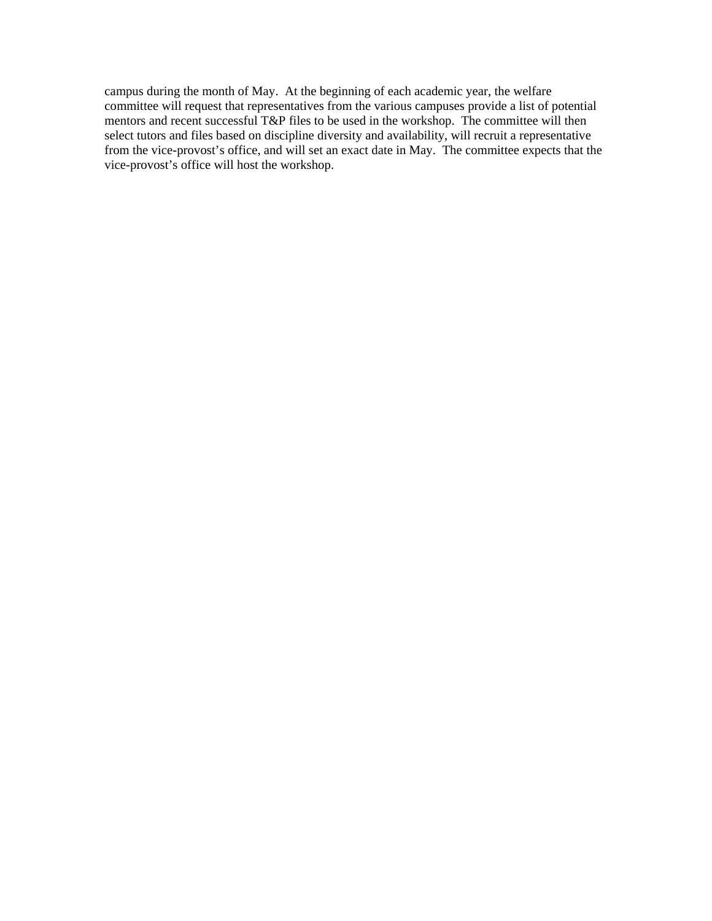campus during the month of May. At the beginning of each academic year, the welfare committee will request that representatives from the various campuses provide a list of potential mentors and recent successful T&P files to be used in the workshop. The committee will then select tutors and files based on discipline diversity and availability, will recruit a representative from the vice-provost's office, and will set an exact date in May. The committee expects that the vice-provost's office will host the workshop.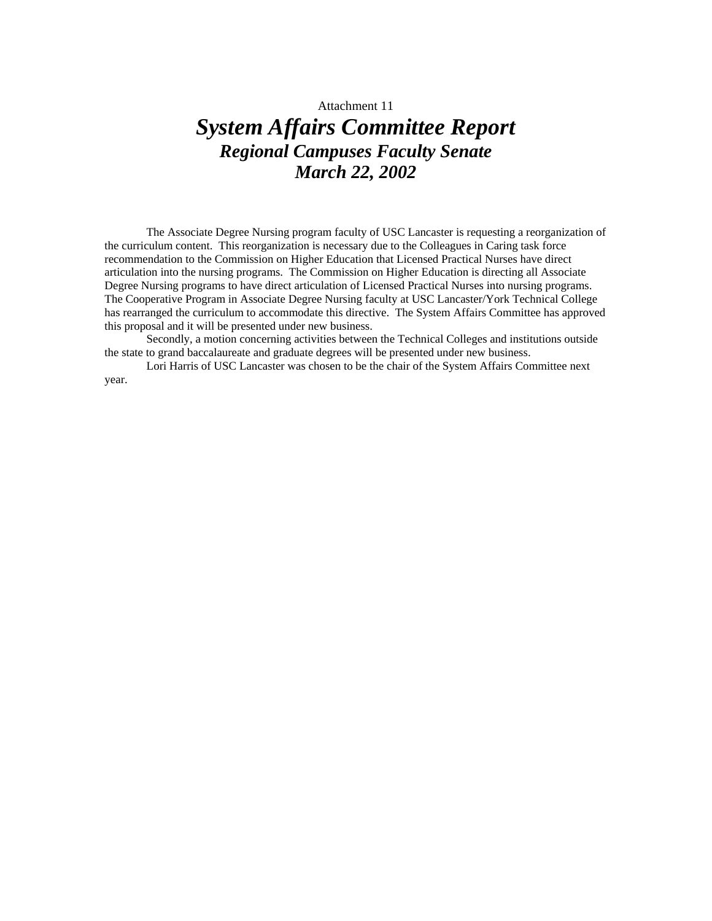Attachment 11

# *System Affairs Committee Report Regional Campuses Faculty Senate March 22, 2002*

The Associate Degree Nursing program faculty of USC Lancaster is requesting a reorganization of the curriculum content. This reorganization is necessary due to the Colleagues in Caring task force recommendation to the Commission on Higher Education that Licensed Practical Nurses have direct articulation into the nursing programs. The Commission on Higher Education is directing all Associate Degree Nursing programs to have direct articulation of Licensed Practical Nurses into nursing programs. The Cooperative Program in Associate Degree Nursing faculty at USC Lancaster/York Technical College has rearranged the curriculum to accommodate this directive. The System Affairs Committee has approved this proposal and it will be presented under new business.

Secondly, a motion concerning activities between the Technical Colleges and institutions outside the state to grand baccalaureate and graduate degrees will be presented under new business.

Lori Harris of USC Lancaster was chosen to be the chair of the System Affairs Committee next year.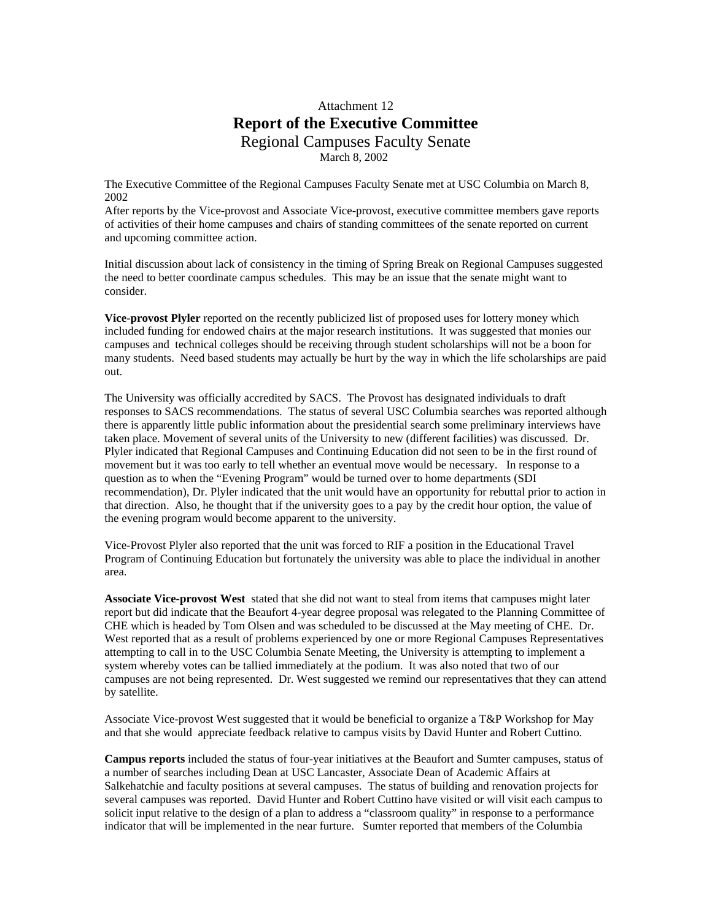### Attachment 12 **Report of the Executive Committee**  Regional Campuses Faculty Senate March 8, 2002

The Executive Committee of the Regional Campuses Faculty Senate met at USC Columbia on March 8, 2002

After reports by the Vice-provost and Associate Vice-provost, executive committee members gave reports of activities of their home campuses and chairs of standing committees of the senate reported on current and upcoming committee action.

Initial discussion about lack of consistency in the timing of Spring Break on Regional Campuses suggested the need to better coordinate campus schedules. This may be an issue that the senate might want to consider.

**Vice-provost Plyler** reported on the recently publicized list of proposed uses for lottery money which included funding for endowed chairs at the major research institutions. It was suggested that monies our campuses and technical colleges should be receiving through student scholarships will not be a boon for many students. Need based students may actually be hurt by the way in which the life scholarships are paid out.

The University was officially accredited by SACS. The Provost has designated individuals to draft responses to SACS recommendations. The status of several USC Columbia searches was reported although there is apparently little public information about the presidential search some preliminary interviews have taken place. Movement of several units of the University to new (different facilities) was discussed. Dr. Plyler indicated that Regional Campuses and Continuing Education did not seen to be in the first round of movement but it was too early to tell whether an eventual move would be necessary. In response to a question as to when the "Evening Program" would be turned over to home departments (SDI recommendation), Dr. Plyler indicated that the unit would have an opportunity for rebuttal prior to action in that direction. Also, he thought that if the university goes to a pay by the credit hour option, the value of the evening program would become apparent to the university.

Vice-Provost Plyler also reported that the unit was forced to RIF a position in the Educational Travel Program of Continuing Education but fortunately the university was able to place the individual in another area.

**Associate Vice-provost West** stated that she did not want to steal from items that campuses might later report but did indicate that the Beaufort 4-year degree proposal was relegated to the Planning Committee of CHE which is headed by Tom Olsen and was scheduled to be discussed at the May meeting of CHE. Dr. West reported that as a result of problems experienced by one or more Regional Campuses Representatives attempting to call in to the USC Columbia Senate Meeting, the University is attempting to implement a system whereby votes can be tallied immediately at the podium. It was also noted that two of our campuses are not being represented. Dr. West suggested we remind our representatives that they can attend by satellite.

Associate Vice-provost West suggested that it would be beneficial to organize a T&P Workshop for May and that she would appreciate feedback relative to campus visits by David Hunter and Robert Cuttino.

**Campus reports** included the status of four-year initiatives at the Beaufort and Sumter campuses, status of a number of searches including Dean at USC Lancaster, Associate Dean of Academic Affairs at Salkehatchie and faculty positions at several campuses. The status of building and renovation projects for several campuses was reported. David Hunter and Robert Cuttino have visited or will visit each campus to solicit input relative to the design of a plan to address a "classroom quality" in response to a performance indicator that will be implemented in the near furture. Sumter reported that members of the Columbia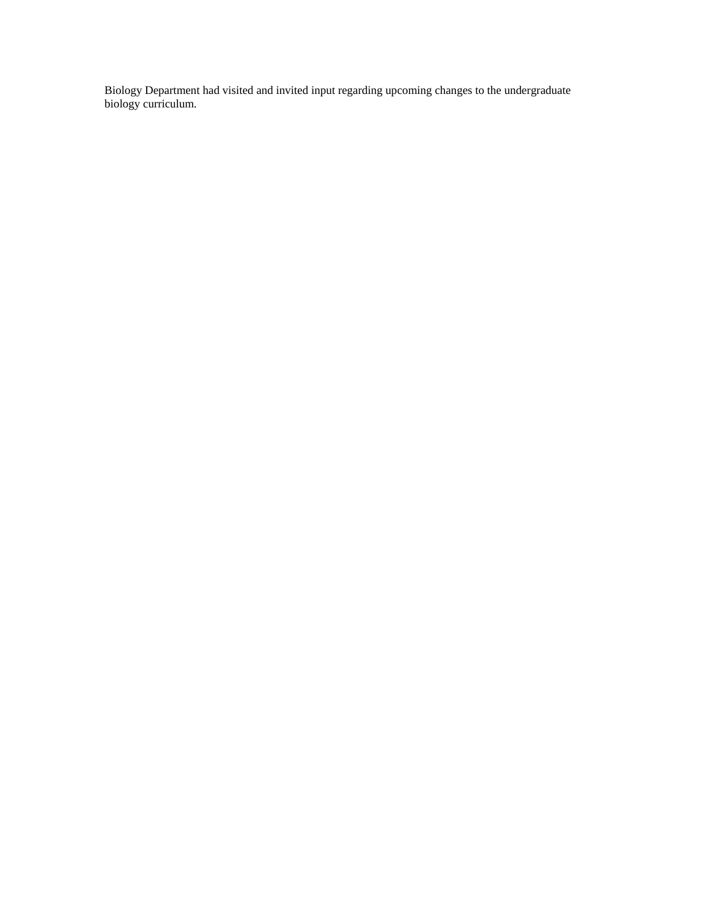Biology Department had visited and invited input regarding upcoming changes to the undergraduate biology curriculum.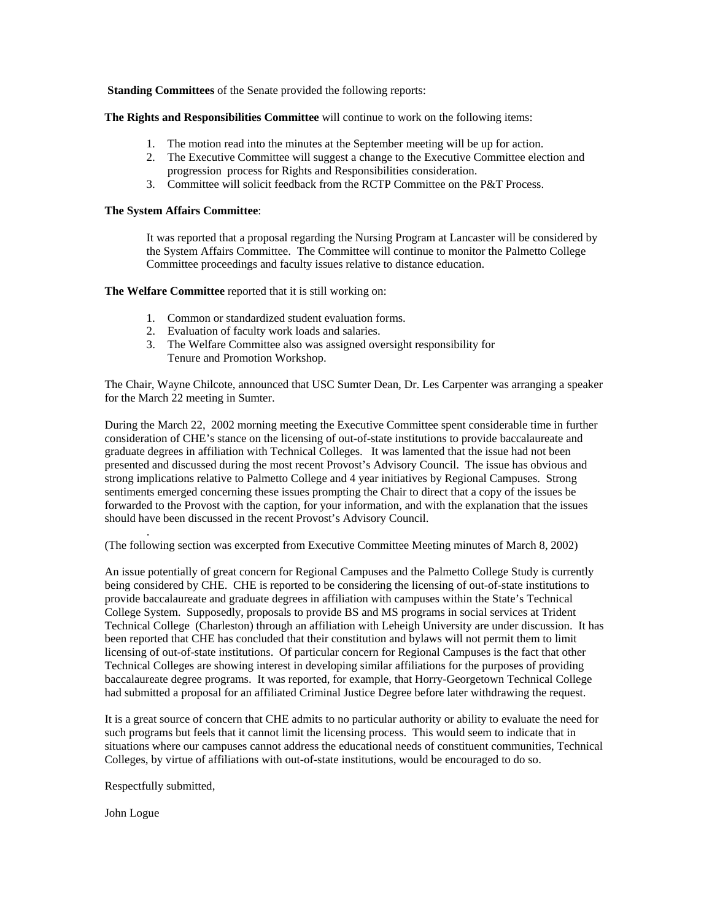**Standing Committees** of the Senate provided the following reports:

**The Rights and Responsibilities Committee** will continue to work on the following items:

- 1. The motion read into the minutes at the September meeting will be up for action.
- 2. The Executive Committee will suggest a change to the Executive Committee election and progression process for Rights and Responsibilities consideration.
- 3. Committee will solicit feedback from the RCTP Committee on the P&T Process.

#### **The System Affairs Committee**:

It was reported that a proposal regarding the Nursing Program at Lancaster will be considered by the System Affairs Committee. The Committee will continue to monitor the Palmetto College Committee proceedings and faculty issues relative to distance education.

**The Welfare Committee** reported that it is still working on:

- 1. Common or standardized student evaluation forms.
- 2. Evaluation of faculty work loads and salaries.
- 3. The Welfare Committee also was assigned oversight responsibility for Tenure and Promotion Workshop.

The Chair, Wayne Chilcote, announced that USC Sumter Dean, Dr. Les Carpenter was arranging a speaker for the March 22 meeting in Sumter.

During the March 22, 2002 morning meeting the Executive Committee spent considerable time in further consideration of CHE's stance on the licensing of out-of-state institutions to provide baccalaureate and graduate degrees in affiliation with Technical Colleges. It was lamented that the issue had not been presented and discussed during the most recent Provost's Advisory Council. The issue has obvious and strong implications relative to Palmetto College and 4 year initiatives by Regional Campuses. Strong sentiments emerged concerning these issues prompting the Chair to direct that a copy of the issues be forwarded to the Provost with the caption, for your information, and with the explanation that the issues should have been discussed in the recent Provost's Advisory Council.

(The following section was excerpted from Executive Committee Meeting minutes of March 8, 2002)

An issue potentially of great concern for Regional Campuses and the Palmetto College Study is currently being considered by CHE. CHE is reported to be considering the licensing of out-of-state institutions to provide baccalaureate and graduate degrees in affiliation with campuses within the State's Technical College System. Supposedly, proposals to provide BS and MS programs in social services at Trident Technical College (Charleston) through an affiliation with Leheigh University are under discussion. It has been reported that CHE has concluded that their constitution and bylaws will not permit them to limit licensing of out-of-state institutions. Of particular concern for Regional Campuses is the fact that other Technical Colleges are showing interest in developing similar affiliations for the purposes of providing baccalaureate degree programs. It was reported, for example, that Horry-Georgetown Technical College had submitted a proposal for an affiliated Criminal Justice Degree before later withdrawing the request.

It is a great source of concern that CHE admits to no particular authority or ability to evaluate the need for such programs but feels that it cannot limit the licensing process. This would seem to indicate that in situations where our campuses cannot address the educational needs of constituent communities, Technical Colleges, by virtue of affiliations with out-of-state institutions, would be encouraged to do so.

Respectfully submitted,

.

John Logue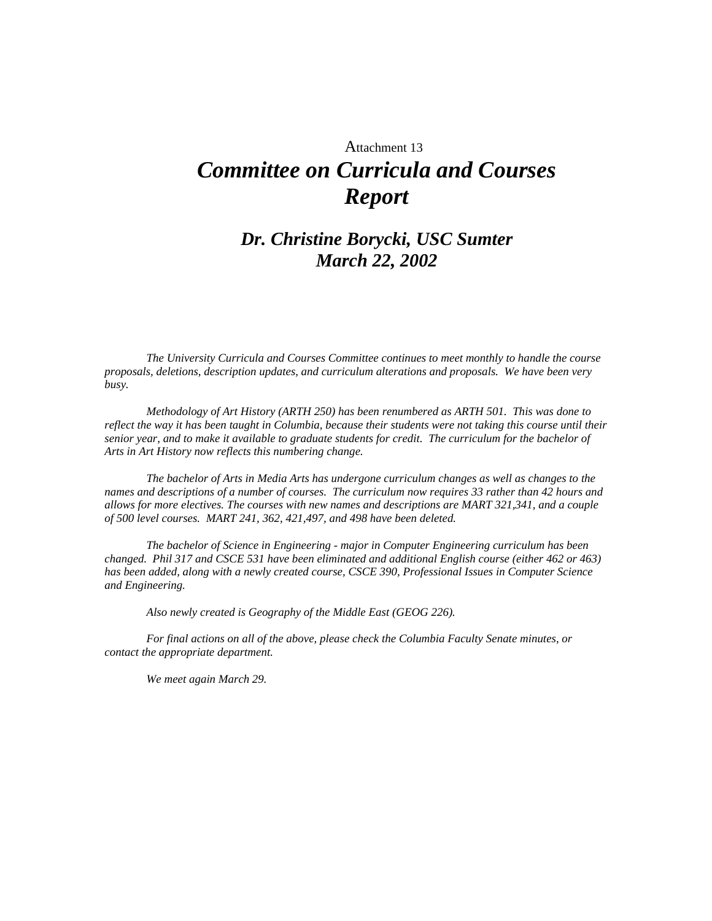# Attachment 13 *Committee on Curricula and Courses Report*

# *Dr. Christine Borycki, USC Sumter March 22, 2002*

*The University Curricula and Courses Committee continues to meet monthly to handle the course proposals, deletions, description updates, and curriculum alterations and proposals. We have been very busy.* 

*Methodology of Art History (ARTH 250) has been renumbered as ARTH 501. This was done to reflect the way it has been taught in Columbia, because their students were not taking this course until their senior year, and to make it available to graduate students for credit. The curriculum for the bachelor of Arts in Art History now reflects this numbering change.* 

*The bachelor of Arts in Media Arts has undergone curriculum changes as well as changes to the names and descriptions of a number of courses. The curriculum now requires 33 rather than 42 hours and allows for more electives. The courses with new names and descriptions are MART 321,341, and a couple of 500 level courses. MART 241, 362, 421,497, and 498 have been deleted.* 

*The bachelor of Science in Engineering - major in Computer Engineering curriculum has been changed. Phil 317 and CSCE 531 have been eliminated and additional English course (either 462 or 463) has been added, along with a newly created course, CSCE 390, Professional Issues in Computer Science and Engineering.* 

*Also newly created is Geography of the Middle East (GEOG 226).* 

*For final actions on all of the above, please check the Columbia Faculty Senate minutes, or contact the appropriate department.* 

*We meet again March 29.*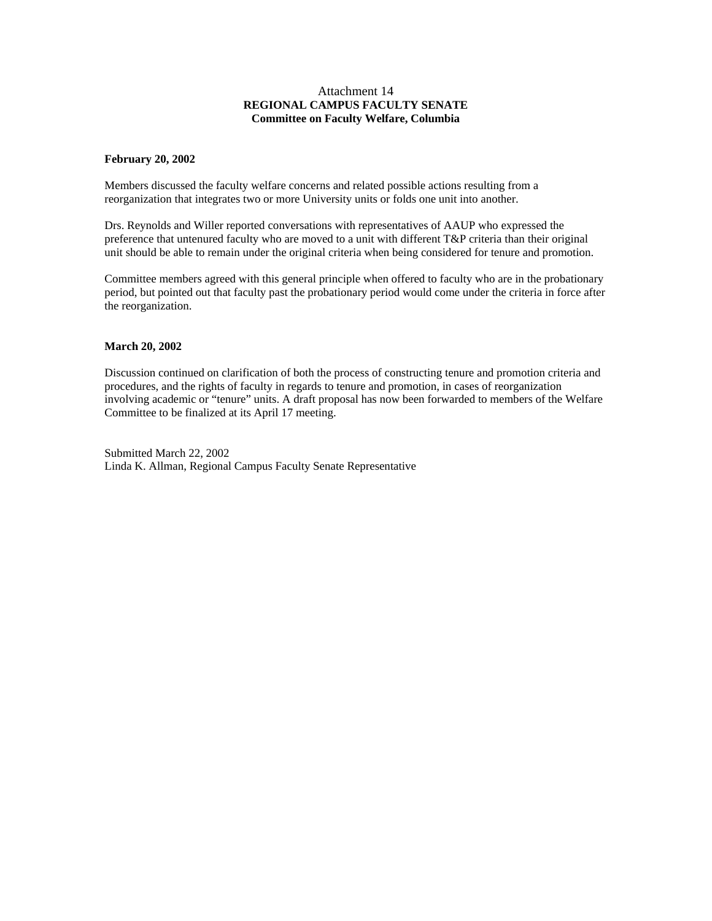#### Attachment 14 **REGIONAL CAMPUS FACULTY SENATE Committee on Faculty Welfare, Columbia**

#### **February 20, 2002**

Members discussed the faculty welfare concerns and related possible actions resulting from a reorganization that integrates two or more University units or folds one unit into another.

Drs. Reynolds and Willer reported conversations with representatives of AAUP who expressed the preference that untenured faculty who are moved to a unit with different T&P criteria than their original unit should be able to remain under the original criteria when being considered for tenure and promotion.

Committee members agreed with this general principle when offered to faculty who are in the probationary period, but pointed out that faculty past the probationary period would come under the criteria in force after the reorganization.

#### **March 20, 2002**

Discussion continued on clarification of both the process of constructing tenure and promotion criteria and procedures, and the rights of faculty in regards to tenure and promotion, in cases of reorganization involving academic or "tenure" units. A draft proposal has now been forwarded to members of the Welfare Committee to be finalized at its April 17 meeting.

Submitted March 22, 2002 Linda K. Allman, Regional Campus Faculty Senate Representative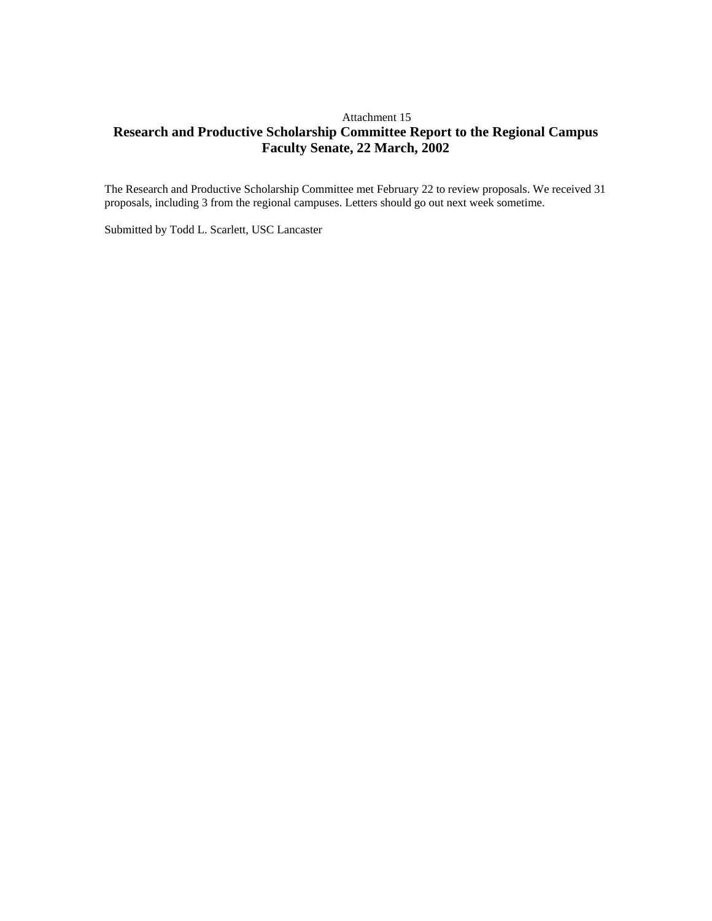### Attachment 15 **Research and Productive Scholarship Committee Report to the Regional Campus Faculty Senate, 22 March, 2002**

The Research and Productive Scholarship Committee met February 22 to review proposals. We received 31 proposals, including 3 from the regional campuses. Letters should go out next week sometime.

Submitted by Todd L. Scarlett, USC Lancaster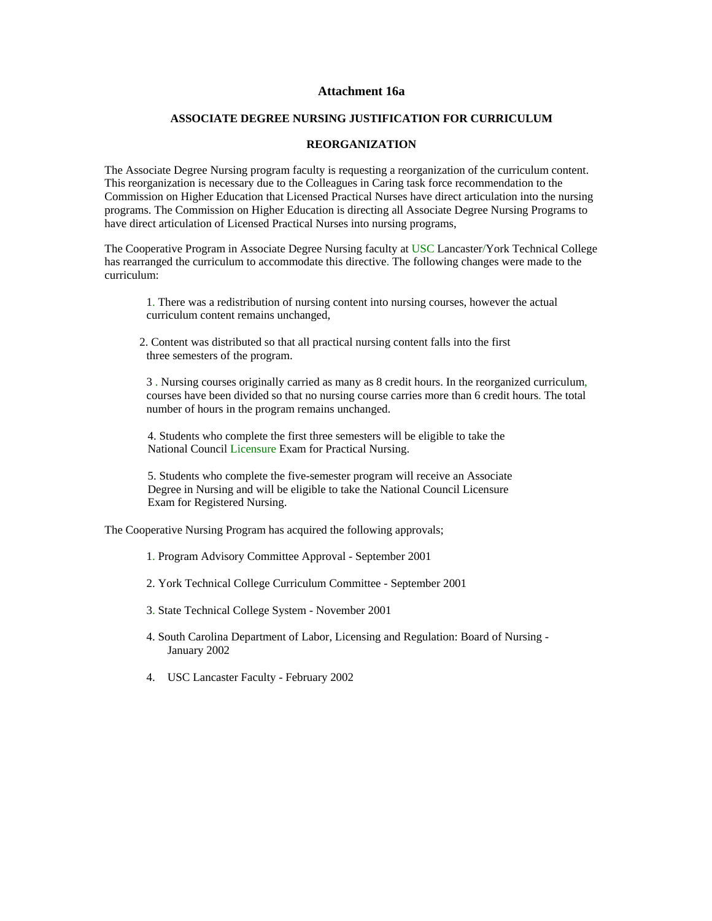#### **Attachment 16a**

#### **ASSOCIATE DEGREE NURSING JUSTIFICATION FOR CURRICULUM**

#### **REORGANIZATION**

The Associate Degree Nursing program faculty is requesting a reorganization of the curriculum content. This reorganization is necessary due to the Colleagues in Caring task force recommendation to the Commission on Higher Education that Licensed Practical Nurses have direct articulation into the nursing programs. The Commission on Higher Education is directing all Associate Degree Nursing Programs to have direct articulation of Licensed Practical Nurses into nursing programs,

The Cooperative Program in Associate Degree Nursing faculty at USC Lancaster/York Technical College has rearranged the curriculum to accommodate this directive. The following changes were made to the curriculum:

1. There was a redistribution of nursing content into nursing courses, however the actual curriculum content remains unchanged,

 2. Content was distributed so that all practical nursing content falls into the first three semesters of the program.

3 . Nursing courses originally carried as many as 8 credit hours. In the reorganized curriculum, courses have been divided so that no nursing course carries more than 6 credit hours. The total number of hours in the program remains unchanged.

4. Students who complete the first three semesters will be eligible to take the National Council Licensure Exam for Practical Nursing.

5. Students who complete the five-semester program will receive an Associate Degree in Nursing and will be eligible to take the National Council Licensure Exam for Registered Nursing.

The Cooperative Nursing Program has acquired the following approvals;

1. Program Advisory Committee Approval - September 2001

2. York Technical College Curriculum Committee - September 2001

3. State Technical College System - November 2001

- 4. South Carolina Department of Labor, Licensing and Regulation: Board of Nursing January 2002
- 4. USC Lancaster Faculty February 2002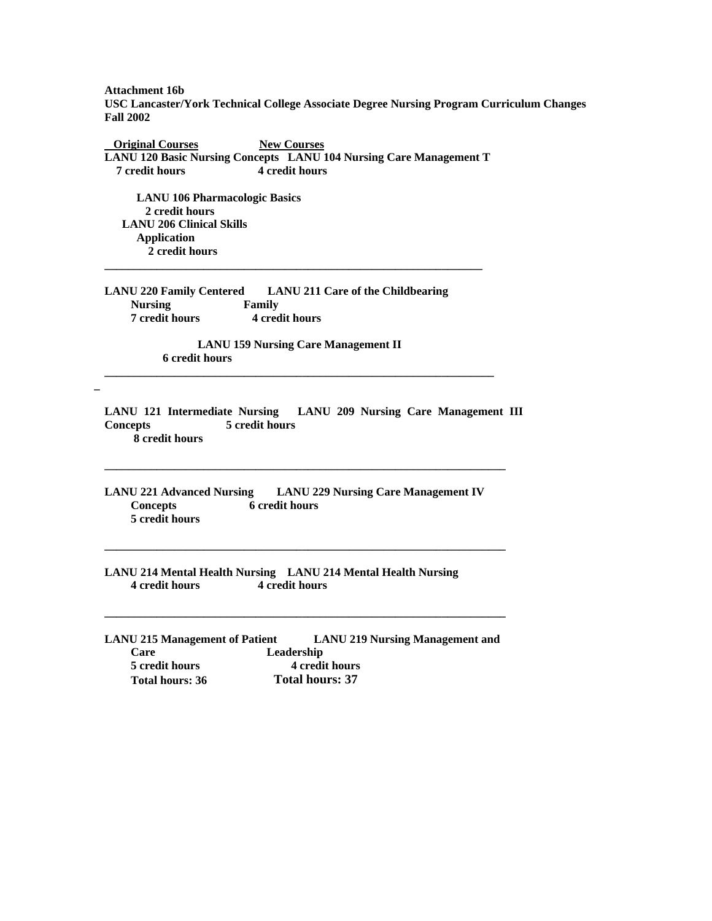**Attachment 16b USC Lancaster/York Technical College Associate Degree Nursing Program Curriculum Changes Fall 2002** 

**Original Courses New Courses LANU 120 Basic Nursing Concepts LANU 104 Nursing Care Management T 7 credit hours 4 credit hours** 

**\_\_\_\_\_\_\_\_\_\_\_\_\_\_\_\_\_\_\_\_\_\_\_\_\_\_\_\_\_\_\_\_\_\_\_\_\_\_\_\_\_\_\_\_\_\_\_\_\_\_\_\_\_\_\_\_\_\_\_\_\_\_\_\_\_** 

 **LANU 106 Pharmacologic Basics 2 credit hours LANU 206 Clinical Skills Application 2 credit hours** 

**\_** 

**LANU 220 Family Centered LANU 211 Care of the Childbearing Nursing Family 7 credit hours 4 credit hours** 

 **LANU 159 Nursing Care Management II 6 credit hours \_\_\_\_\_\_\_\_\_\_\_\_\_\_\_\_\_\_\_\_\_\_\_\_\_\_\_\_\_\_\_\_\_\_\_\_\_\_\_\_\_\_\_\_\_\_\_\_\_\_\_\_\_\_\_\_\_\_\_\_\_\_\_\_\_\_\_**

**LANU 121 Intermediate Nursing LANU 209 Nursing Care Management III Concepts 5 credit hours 8 credit hours** 

**\_\_\_\_\_\_\_\_\_\_\_\_\_\_\_\_\_\_\_\_\_\_\_\_\_\_\_\_\_\_\_\_\_\_\_\_\_\_\_\_\_\_\_\_\_\_\_\_\_\_\_\_\_\_\_\_\_\_\_\_\_\_\_\_\_\_\_\_\_** 

**\_\_\_\_\_\_\_\_\_\_\_\_\_\_\_\_\_\_\_\_\_\_\_\_\_\_\_\_\_\_\_\_\_\_\_\_\_\_\_\_\_\_\_\_\_\_\_\_\_\_\_\_\_\_\_\_\_\_\_\_\_\_\_\_\_\_\_\_\_** 

**\_\_\_\_\_\_\_\_\_\_\_\_\_\_\_\_\_\_\_\_\_\_\_\_\_\_\_\_\_\_\_\_\_\_\_\_\_\_\_\_\_\_\_\_\_\_\_\_\_\_\_\_\_\_\_\_\_\_\_\_\_\_\_\_\_\_\_\_\_** 

**LANU 221 Advanced Nursing LANU 229 Nursing Care Management IV**   $6$  credit hours  **5 credit hours** 

**LANU 214 Mental Health Nursing LANU 214 Mental Health Nursing 4 credit hours 4 credit hours** 

| <b>LANU 215 Management of Patient</b> | <b>LANU 219 Nursing Management and</b> |
|---------------------------------------|----------------------------------------|
| Care                                  | Leadership                             |
| 5 credit hours                        | 4 credit hours                         |
| Total hours: 36                       | <b>Total hours: 37</b>                 |